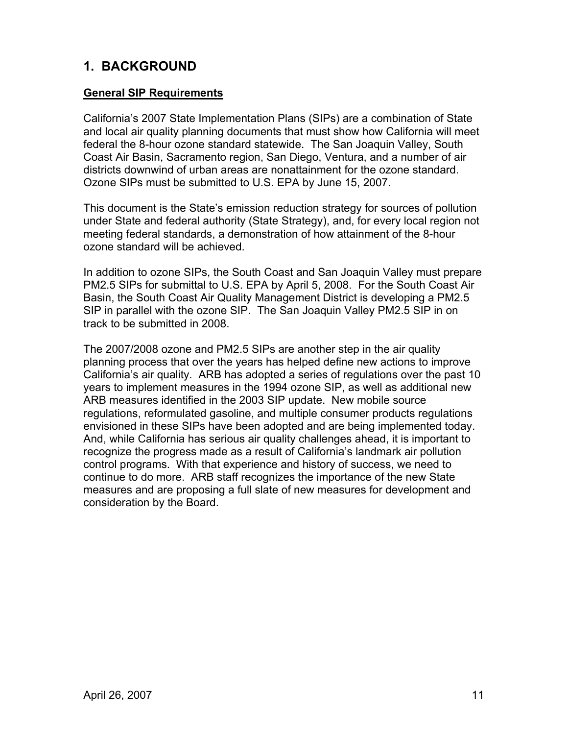# **1. BACKGROUND**

#### **General SIP Requirements**

California's 2007 State Implementation Plans (SIPs) are a combination of State and local air quality planning documents that must show how California will meet federal the 8-hour ozone standard statewide. The San Joaquin Valley, South Coast Air Basin, Sacramento region, San Diego, Ventura, and a number of air districts downwind of urban areas are nonattainment for the ozone standard. Ozone SIPs must be submitted to U.S. EPA by June 15, 2007.

This document is the State's emission reduction strategy for sources of pollution under State and federal authority (State Strategy), and, for every local region not meeting federal standards, a demonstration of how attainment of the 8-hour ozone standard will be achieved.

In addition to ozone SIPs, the South Coast and San Joaquin Valley must prepare PM2.5 SIPs for submittal to U.S. EPA by April 5, 2008. For the South Coast Air Basin, the South Coast Air Quality Management District is developing a PM2.5 SIP in parallel with the ozone SIP. The San Joaquin Valley PM2.5 SIP in on track to be submitted in 2008.

The 2007/2008 ozone and PM2.5 SIPs are another step in the air quality planning process that over the years has helped define new actions to improve California's air quality. ARB has adopted a series of regulations over the past 10 years to implement measures in the 1994 ozone SIP, as well as additional new ARB measures identified in the 2003 SIP update. New mobile source regulations, reformulated gasoline, and multiple consumer products regulations envisioned in these SIPs have been adopted and are being implemented today. And, while California has serious air quality challenges ahead, it is important to recognize the progress made as a result of California's landmark air pollution control programs. With that experience and history of success, we need to continue to do more. ARB staff recognizes the importance of the new State measures and are proposing a full slate of new measures for development and consideration by the Board.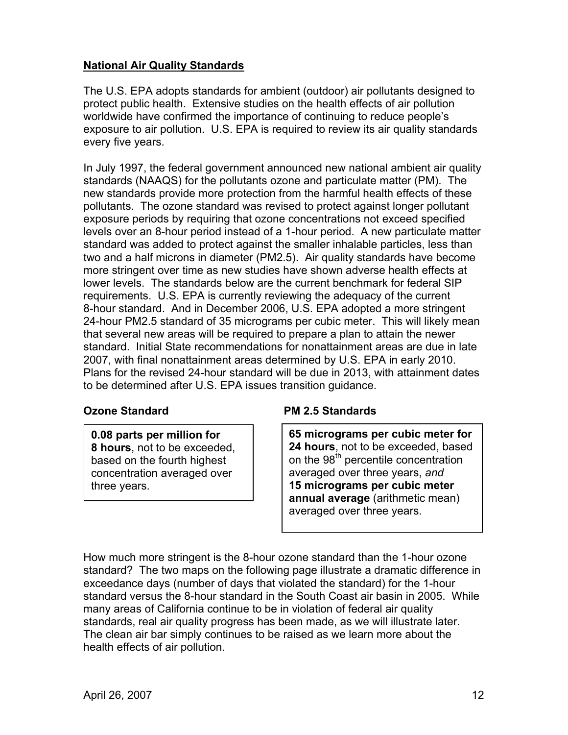### **National Air Quality Standards**

The U.S. EPA adopts standards for ambient (outdoor) air pollutants designed to protect public health. Extensive studies on the health effects of air pollution worldwide have confirmed the importance of continuing to reduce people's exposure to air pollution. U.S. EPA is required to review its air quality standards every five years.

In July 1997, the federal government announced new national ambient air quality standards (NAAQS) for the pollutants ozone and particulate matter (PM). The new standards provide more protection from the harmful health effects of these pollutants. The ozone standard was revised to protect against longer pollutant exposure periods by requiring that ozone concentrations not exceed specified levels over an 8-hour period instead of a 1-hour period. A new particulate matter standard was added to protect against the smaller inhalable particles, less than two and a half microns in diameter (PM2.5). Air quality standards have become more stringent over time as new studies have shown adverse health effects at lower levels. The standards below are the current benchmark for federal SIP requirements. U.S. EPA is currently reviewing the adequacy of the current 8-hour standard. And in December 2006, U.S. EPA adopted a more stringent 24-hour PM2.5 standard of 35 micrograms per cubic meter. This will likely mean that several new areas will be required to prepare a plan to attain the newer standard. Initial State recommendations for nonattainment areas are due in late 2007, with final nonattainment areas determined by U.S. EPA in early 2010. Plans for the revised 24-hour standard will be due in 2013, with attainment dates to be determined after U.S. EPA issues transition guidance.

**0.08 parts per million for 8 hours**, not to be exceeded, based on the fourth highest concentration averaged over three years.

### **Ozone Standard PM 2.5 Standards**

**65 micrograms per cubic meter for 24 hours**, not to be exceeded, based on the 98<sup>th</sup> percentile concentration averaged over three years, *and* **15 micrograms per cubic meter annual average** (arithmetic mean) averaged over three years.

How much more stringent is the 8-hour ozone standard than the 1-hour ozone standard? The two maps on the following page illustrate a dramatic difference in exceedance days (number of days that violated the standard) for the 1-hour standard versus the 8-hour standard in the South Coast air basin in 2005. While many areas of California continue to be in violation of federal air quality standards, real air quality progress has been made, as we will illustrate later. The clean air bar simply continues to be raised as we learn more about the health effects of air pollution.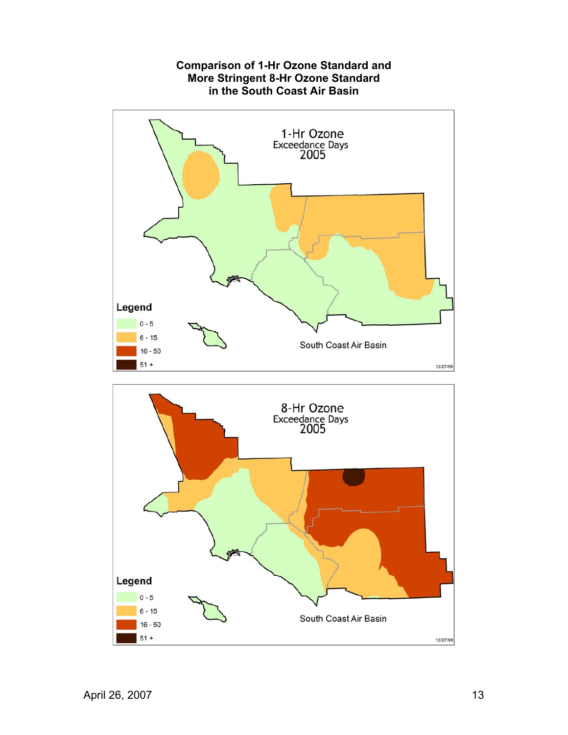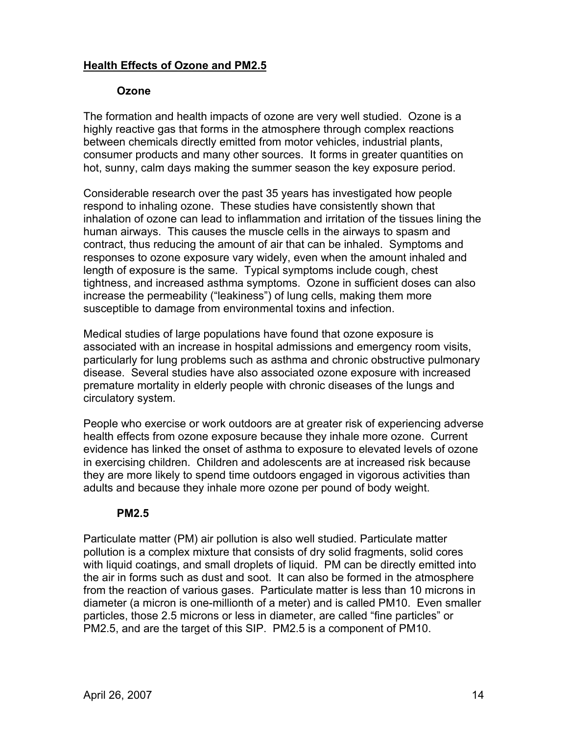### **Health Effects of Ozone and PM2.5**

#### **Ozone**

The formation and health impacts of ozone are very well studied. Ozone is a highly reactive gas that forms in the atmosphere through complex reactions between chemicals directly emitted from motor vehicles, industrial plants, consumer products and many other sources. It forms in greater quantities on hot, sunny, calm days making the summer season the key exposure period.

Considerable research over the past 35 years has investigated how people respond to inhaling ozone. These studies have consistently shown that inhalation of ozone can lead to inflammation and irritation of the tissues lining the human airways. This causes the muscle cells in the airways to spasm and contract, thus reducing the amount of air that can be inhaled. Symptoms and responses to ozone exposure vary widely, even when the amount inhaled and length of exposure is the same. Typical symptoms include cough, chest tightness, and increased asthma symptoms. Ozone in sufficient doses can also increase the permeability ("leakiness") of lung cells, making them more susceptible to damage from environmental toxins and infection.

Medical studies of large populations have found that ozone exposure is associated with an increase in hospital admissions and emergency room visits, particularly for lung problems such as asthma and chronic obstructive pulmonary disease. Several studies have also associated ozone exposure with increased premature mortality in elderly people with chronic diseases of the lungs and circulatory system.

People who exercise or work outdoors are at greater risk of experiencing adverse health effects from ozone exposure because they inhale more ozone. Current evidence has linked the onset of asthma to exposure to elevated levels of ozone in exercising children. Children and adolescents are at increased risk because they are more likely to spend time outdoors engaged in vigorous activities than adults and because they inhale more ozone per pound of body weight.

#### **PM2.5**

Particulate matter (PM) air pollution is also well studied. Particulate matter pollution is a complex mixture that consists of dry solid fragments, solid cores with liquid coatings, and small droplets of liquid. PM can be directly emitted into the air in forms such as dust and soot. It can also be formed in the atmosphere from the reaction of various gases. Particulate matter is less than 10 microns in diameter (a micron is one-millionth of a meter) and is called PM10. Even smaller particles, those 2.5 microns or less in diameter, are called "fine particles" or PM2.5, and are the target of this SIP. PM2.5 is a component of PM10.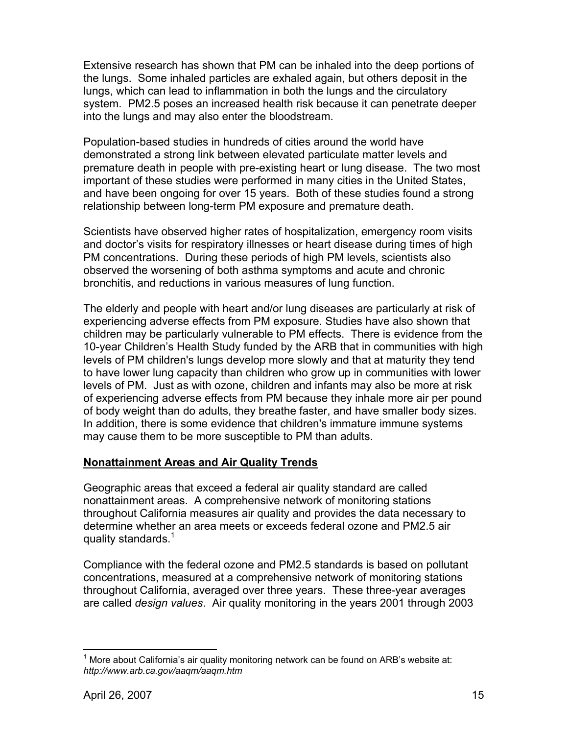Extensive research has shown that PM can be inhaled into the deep portions of the lungs. Some inhaled particles are exhaled again, but others deposit in the lungs, which can lead to inflammation in both the lungs and the circulatory system. PM2.5 poses an increased health risk because it can penetrate deeper into the lungs and may also enter the bloodstream.

Population-based studies in hundreds of cities around the world have demonstrated a strong link between elevated particulate matter levels and premature death in people with pre-existing heart or lung disease. The two most important of these studies were performed in many cities in the United States, and have been ongoing for over 15 years. Both of these studies found a strong relationship between long-term PM exposure and premature death.

Scientists have observed higher rates of hospitalization, emergency room visits and doctor's visits for respiratory illnesses or heart disease during times of high PM concentrations. During these periods of high PM levels, scientists also observed the worsening of both asthma symptoms and acute and chronic bronchitis, and reductions in various measures of lung function.

The elderly and people with heart and/or lung diseases are particularly at risk of experiencing adverse effects from PM exposure. Studies have also shown that children may be particularly vulnerable to PM effects. There is evidence from the 10-year Children's Health Study funded by the ARB that in communities with high levels of PM children's lungs develop more slowly and that at maturity they tend to have lower lung capacity than children who grow up in communities with lower levels of PM. Just as with ozone, children and infants may also be more at risk of experiencing adverse effects from PM because they inhale more air per pound of body weight than do adults, they breathe faster, and have smaller body sizes. In addition, there is some evidence that children's immature immune systems may cause them to be more susceptible to PM than adults.

### **Nonattainment Areas and Air Quality Trends**

Geographic areas that exceed a federal air quality standard are called nonattainment areas. A comprehensive network of monitoring stations throughout California measures air quality and provides the data necessary to determine whether an area meets or exceeds federal ozone and PM2.5 air quality standards.<sup>1</sup>

Compliance with the federal ozone and PM2.5 standards is based on pollutant concentrations, measured at a comprehensive network of monitoring stations throughout California, averaged over three years. These three-year averages are called *design values*. Air quality monitoring in the years 2001 through 2003

 $\overline{a}$  $1$  More about California's air quality monitoring network can be found on ARB's website at: *http://www.arb.ca.gov/aaqm/aaqm.htm*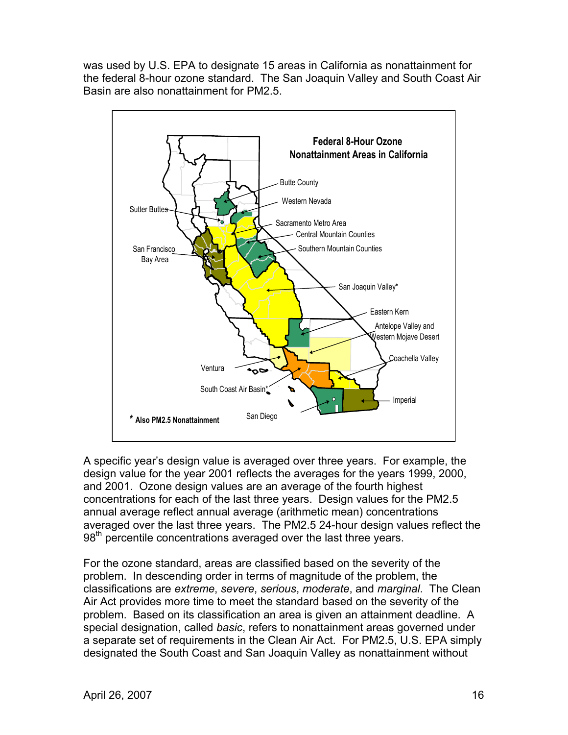was used by U.S. EPA to designate 15 areas in California as nonattainment for the federal 8-hour ozone standard. The San Joaquin Valley and South Coast Air Basin are also nonattainment for PM2.5.



A specific year's design value is averaged over three years. For example, the design value for the year 2001 reflects the averages for the years 1999, 2000, and 2001. Ozone design values are an average of the fourth highest concentrations for each of the last three years. Design values for the PM2.5 annual average reflect annual average (arithmetic mean) concentrations averaged over the last three years. The PM2.5 24-hour design values reflect the  $98<sup>th</sup>$  percentile concentrations averaged over the last three years.

For the ozone standard, areas are classified based on the severity of the problem. In descending order in terms of magnitude of the problem, the classifications are *extreme*, *severe*, *serious*, *moderate*, and *marginal*. The Clean Air Act provides more time to meet the standard based on the severity of the problem. Based on its classification an area is given an attainment deadline. A special designation, called *basic*, refers to nonattainment areas governed under a separate set of requirements in the Clean Air Act. For PM2.5, U.S. EPA simply designated the South Coast and San Joaquin Valley as nonattainment without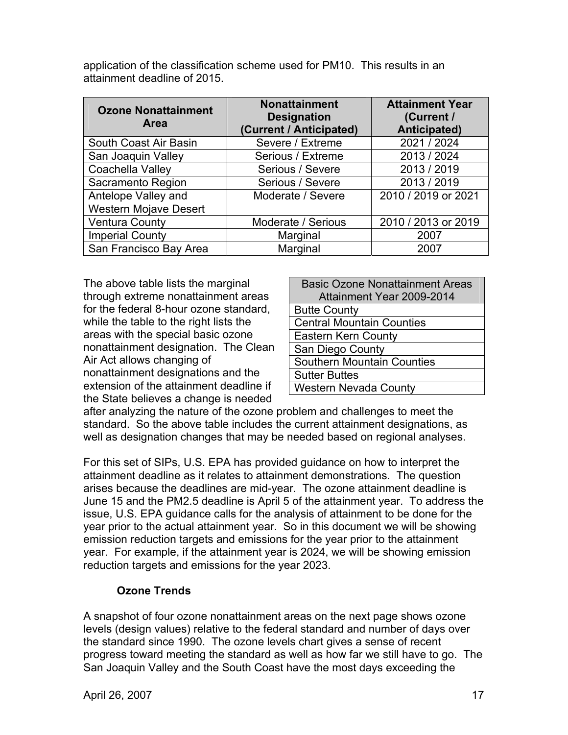| <b>Ozone Nonattainment</b><br><b>Area</b> | <b>Nonattainment</b><br><b>Designation</b> | <b>Attainment Year</b><br>(Current / |
|-------------------------------------------|--------------------------------------------|--------------------------------------|
|                                           | (Current / Anticipated)                    | Anticipated)                         |
| South Coast Air Basin                     | Severe / Extreme                           | 2021 / 2024                          |
| San Joaquin Valley                        | Serious / Extreme                          | 2013 / 2024                          |
| Coachella Valley                          | Serious / Severe                           | 2013 / 2019                          |
| Sacramento Region                         | Serious / Severe                           | 2013 / 2019                          |
| Antelope Valley and                       | Moderate / Severe                          | 2010 / 2019 or 2021                  |
| <b>Western Mojave Desert</b>              |                                            |                                      |
| <b>Ventura County</b>                     | Moderate / Serious                         | 2010 / 2013 or 2019                  |
| <b>Imperial County</b>                    | Marginal                                   | 2007                                 |
| San Francisco Bay Area                    | Marginal                                   | 2007                                 |

application of the classification scheme used for PM10. This results in an attainment deadline of 2015.

The above table lists the marginal through extreme nonattainment areas for the federal 8-hour ozone standard, while the table to the right lists the areas with the special basic ozone nonattainment designation. The Clean Air Act allows changing of nonattainment designations and the extension of the attainment deadline if the State believes a change is needed

| <b>Basic Ozone Nonattainment Areas</b> |
|----------------------------------------|
| Attainment Year 2009-2014              |
| <b>Butte County</b>                    |
| <b>Central Mountain Counties</b>       |
| <b>Eastern Kern County</b>             |
| San Diego County                       |
| <b>Southern Mountain Counties</b>      |
| <b>Sutter Buttes</b>                   |
| <b>Western Nevada County</b>           |

after analyzing the nature of the ozone problem and challenges to meet the standard. So the above table includes the current attainment designations, as well as designation changes that may be needed based on regional analyses.

For this set of SIPs, U.S. EPA has provided guidance on how to interpret the attainment deadline as it relates to attainment demonstrations. The question arises because the deadlines are mid-year. The ozone attainment deadline is June 15 and the PM2.5 deadline is April 5 of the attainment year. To address the issue, U.S. EPA guidance calls for the analysis of attainment to be done for the year prior to the actual attainment year. So in this document we will be showing emission reduction targets and emissions for the year prior to the attainment year. For example, if the attainment year is 2024, we will be showing emission reduction targets and emissions for the year 2023.

### **Ozone Trends**

A snapshot of four ozone nonattainment areas on the next page shows ozone levels (design values) relative to the federal standard and number of days over the standard since 1990. The ozone levels chart gives a sense of recent progress toward meeting the standard as well as how far we still have to go. The San Joaquin Valley and the South Coast have the most days exceeding the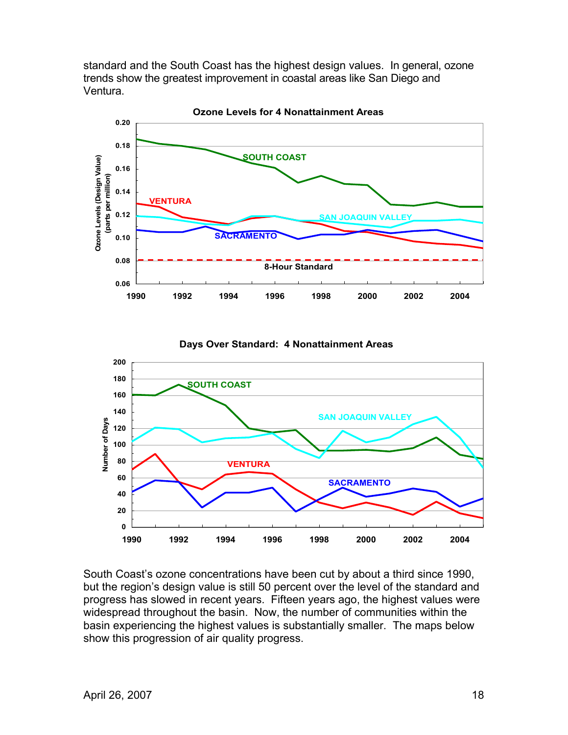standard and the South Coast has the highest design values. In general, ozone trends show the greatest improvement in coastal areas like San Diego and Ventura.



**Ozone Levels for 4 Nonattainment Areas**

**Days Over Standard: 4 Nonattainment Areas**



South Coast's ozone concentrations have been cut by about a third since 1990, but the region's design value is still 50 percent over the level of the standard and progress has slowed in recent years. Fifteen years ago, the highest values were widespread throughout the basin. Now, the number of communities within the basin experiencing the highest values is substantially smaller. The maps below show this progression of air quality progress.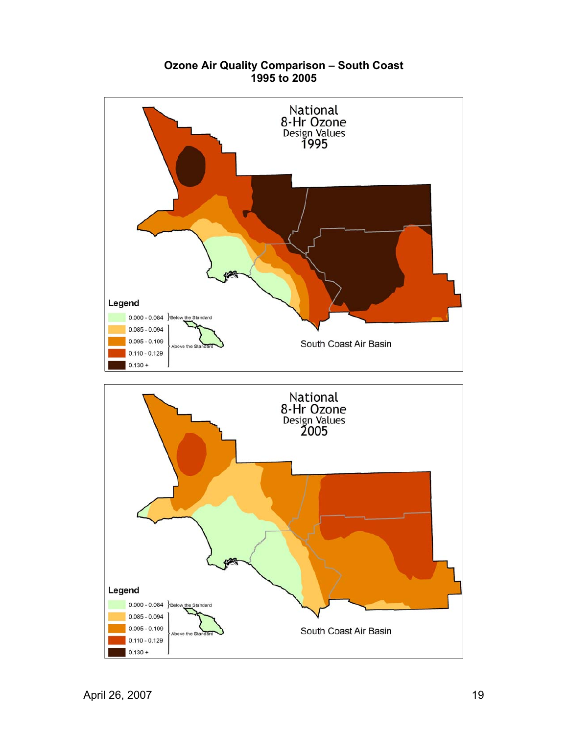

### **Ozone Air Quality Comparison – South Coast 1995 to 2005**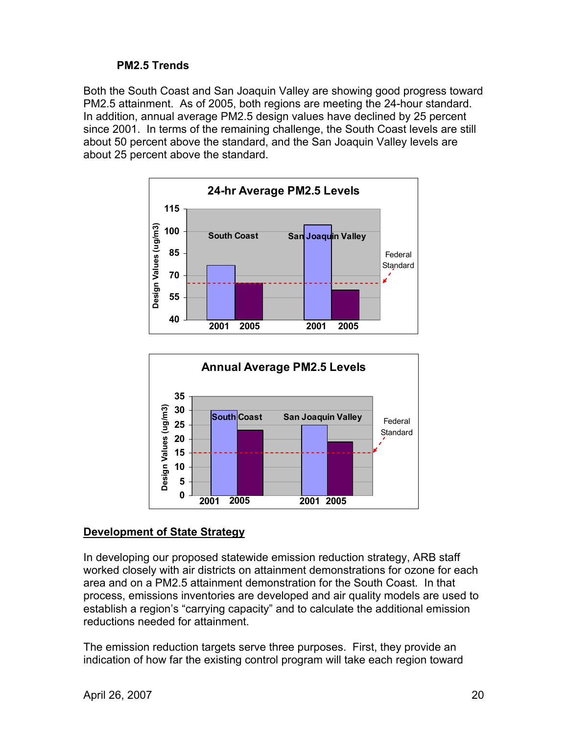### **PM2.5 Trends**

Both the South Coast and San Joaquin Valley are showing good progress toward PM2.5 attainment. As of 2005, both regions are meeting the 24-hour standard. In addition, annual average PM2.5 design values have declined by 25 percent since 2001. In terms of the remaining challenge, the South Coast levels are still about 50 percent above the standard, and the San Joaquin Valley levels are about 25 percent above the standard.





### **Development of State Strategy**

In developing our proposed statewide emission reduction strategy, ARB staff worked closely with air districts on attainment demonstrations for ozone for each area and on a PM2.5 attainment demonstration for the South Coast*.* In that process, emissions inventories are developed and air quality models are used to establish a region's "carrying capacity" and to calculate the additional emission reductions needed for attainment.

The emission reduction targets serve three purposes. First, they provide an indication of how far the existing control program will take each region toward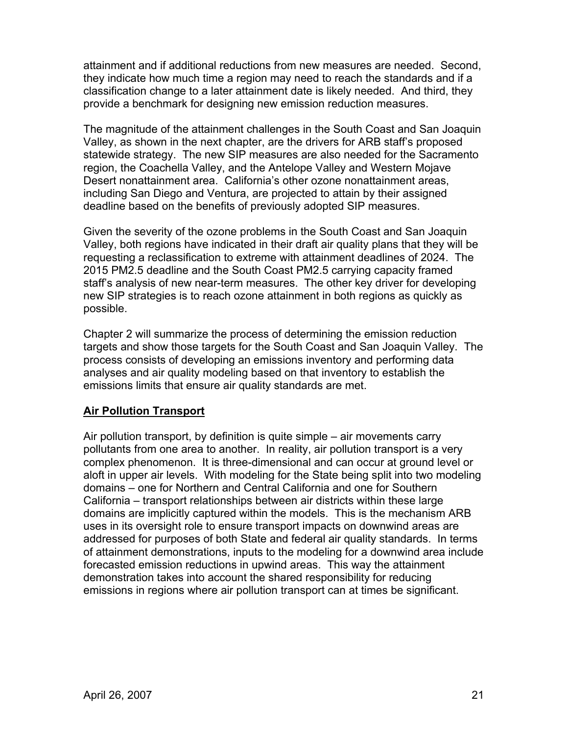attainment and if additional reductions from new measures are needed. Second, they indicate how much time a region may need to reach the standards and if a classification change to a later attainment date is likely needed. And third, they provide a benchmark for designing new emission reduction measures.

The magnitude of the attainment challenges in the South Coast and San Joaquin Valley, as shown in the next chapter, are the drivers for ARB staff's proposed statewide strategy. The new SIP measures are also needed for the Sacramento region, the Coachella Valley, and the Antelope Valley and Western Mojave Desert nonattainment area. California's other ozone nonattainment areas, including San Diego and Ventura, are projected to attain by their assigned deadline based on the benefits of previously adopted SIP measures.

Given the severity of the ozone problems in the South Coast and San Joaquin Valley, both regions have indicated in their draft air quality plans that they will be requesting a reclassification to extreme with attainment deadlines of 2024. The 2015 PM2.5 deadline and the South Coast PM2.5 carrying capacity framed staff's analysis of new near-term measures. The other key driver for developing new SIP strategies is to reach ozone attainment in both regions as quickly as possible.

Chapter 2 will summarize the process of determining the emission reduction targets and show those targets for the South Coast and San Joaquin Valley. The process consists of developing an emissions inventory and performing data analyses and air quality modeling based on that inventory to establish the emissions limits that ensure air quality standards are met.

### **Air Pollution Transport**

Air pollution transport, by definition is quite simple – air movements carry pollutants from one area to another. In reality, air pollution transport is a very complex phenomenon. It is three-dimensional and can occur at ground level or aloft in upper air levels. With modeling for the State being split into two modeling domains – one for Northern and Central California and one for Southern California – transport relationships between air districts within these large domains are implicitly captured within the models. This is the mechanism ARB uses in its oversight role to ensure transport impacts on downwind areas are addressed for purposes of both State and federal air quality standards. In terms of attainment demonstrations, inputs to the modeling for a downwind area include forecasted emission reductions in upwind areas. This way the attainment demonstration takes into account the shared responsibility for reducing emissions in regions where air pollution transport can at times be significant.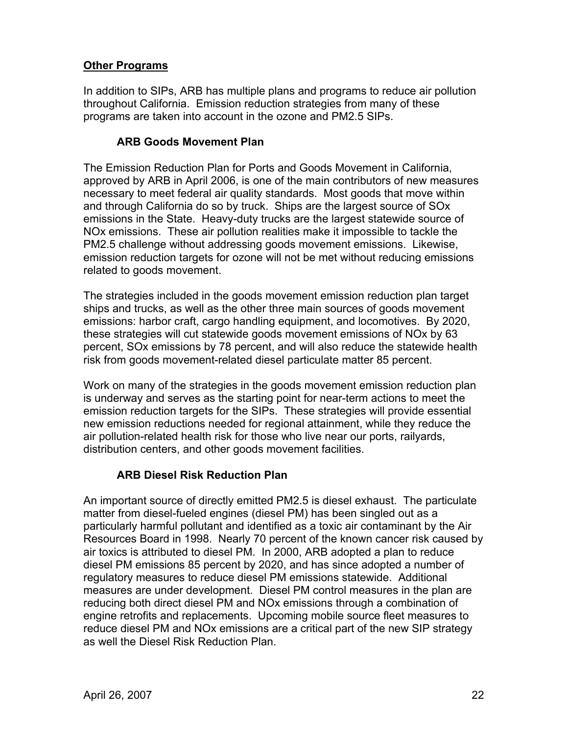### **Other Programs**

In addition to SIPs, ARB has multiple plans and programs to reduce air pollution throughout California. Emission reduction strategies from many of these programs are taken into account in the ozone and PM2.5 SIPs.

### **ARB Goods Movement Plan**

The Emission Reduction Plan for Ports and Goods Movement in California, approved by ARB in April 2006, is one of the main contributors of new measures necessary to meet federal air quality standards. Most goods that move within and through California do so by truck. Ships are the largest source of SOx emissions in the State. Heavy-duty trucks are the largest statewide source of NOx emissions. These air pollution realities make it impossible to tackle the PM2.5 challenge without addressing goods movement emissions. Likewise, emission reduction targets for ozone will not be met without reducing emissions related to goods movement.

The strategies included in the goods movement emission reduction plan target ships and trucks, as well as the other three main sources of goods movement emissions: harbor craft, cargo handling equipment, and locomotives. By 2020, these strategies will cut statewide goods movement emissions of NOx by 63 percent, SOx emissions by 78 percent, and will also reduce the statewide health risk from goods movement-related diesel particulate matter 85 percent.

Work on many of the strategies in the goods movement emission reduction plan is underway and serves as the starting point for near-term actions to meet the emission reduction targets for the SIPs. These strategies will provide essential new emission reductions needed for regional attainment, while they reduce the air pollution-related health risk for those who live near our ports, railyards, distribution centers, and other goods movement facilities.

### **ARB Diesel Risk Reduction Plan**

An important source of directly emitted PM2.5 is diesel exhaust. The particulate matter from diesel-fueled engines (diesel PM) has been singled out as a particularly harmful pollutant and identified as a toxic air contaminant by the Air Resources Board in 1998. Nearly 70 percent of the known cancer risk caused by air toxics is attributed to diesel PM. In 2000, ARB adopted a plan to reduce diesel PM emissions 85 percent by 2020, and has since adopted a number of regulatory measures to reduce diesel PM emissions statewide. Additional measures are under development. Diesel PM control measures in the plan are reducing both direct diesel PM and NOx emissions through a combination of engine retrofits and replacements. Upcoming mobile source fleet measures to reduce diesel PM and NOx emissions are a critical part of the new SIP strategy as well the Diesel Risk Reduction Plan.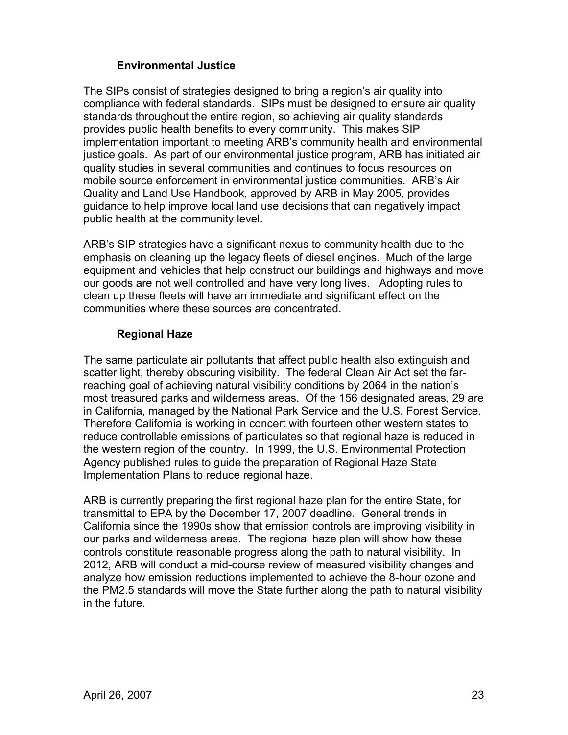### **Environmental Justice**

The SIPs consist of strategies designed to bring a region's air quality into compliance with federal standards. SIPs must be designed to ensure air quality standards throughout the entire region, so achieving air quality standards provides public health benefits to every community. This makes SIP implementation important to meeting ARB's community health and environmental justice goals. As part of our environmental justice program, ARB has initiated air quality studies in several communities and continues to focus resources on mobile source enforcement in environmental justice communities. ARB's Air Quality and Land Use Handbook, approved by ARB in May 2005, provides guidance to help improve local land use decisions that can negatively impact public health at the community level.

ARB's SIP strategies have a significant nexus to community health due to the emphasis on cleaning up the legacy fleets of diesel engines. Much of the large equipment and vehicles that help construct our buildings and highways and move our goods are not well controlled and have very long lives. Adopting rules to clean up these fleets will have an immediate and significant effect on the communities where these sources are concentrated.

### **Regional Haze**

The same particulate air pollutants that affect public health also extinguish and scatter light, thereby obscuring visibility. The federal Clean Air Act set the farreaching goal of achieving natural visibility conditions by 2064 in the nation's most treasured parks and wilderness areas. Of the 156 designated areas, 29 are in California, managed by the National Park Service and the U.S. Forest Service. Therefore California is working in concert with fourteen other western states to reduce controllable emissions of particulates so that regional haze is reduced in the western region of the country. In 1999, the U.S. Environmental Protection Agency published rules to guide the preparation of Regional Haze State Implementation Plans to reduce regional haze.

ARB is currently preparing the first regional haze plan for the entire State, for transmittal to EPA by the December 17, 2007 deadline. General trends in California since the 1990s show that emission controls are improving visibility in our parks and wilderness areas. The regional haze plan will show how these controls constitute reasonable progress along the path to natural visibility. In 2012, ARB will conduct a mid-course review of measured visibility changes and analyze how emission reductions implemented to achieve the 8-hour ozone and the PM2.5 standards will move the State further along the path to natural visibility in the future.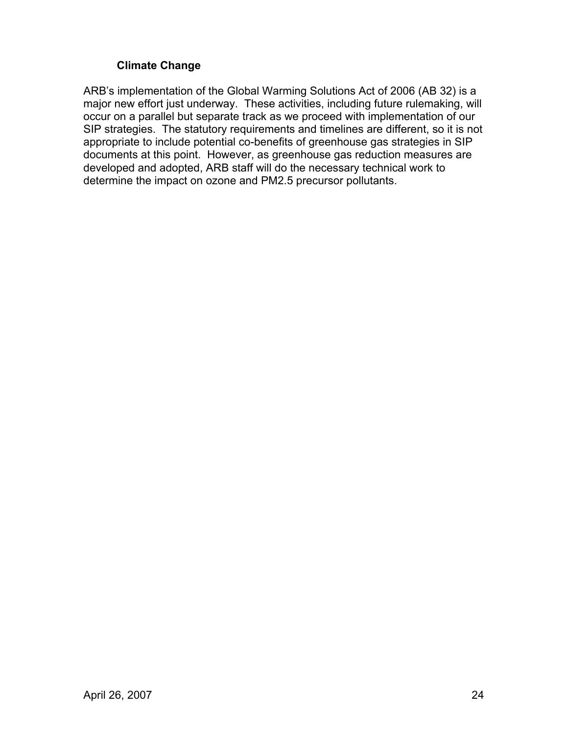### **Climate Change**

ARB's implementation of the Global Warming Solutions Act of 2006 (AB 32) is a major new effort just underway. These activities, including future rulemaking, will occur on a parallel but separate track as we proceed with implementation of our SIP strategies. The statutory requirements and timelines are different, so it is not appropriate to include potential co-benefits of greenhouse gas strategies in SIP documents at this point. However, as greenhouse gas reduction measures are developed and adopted, ARB staff will do the necessary technical work to determine the impact on ozone and PM2.5 precursor pollutants.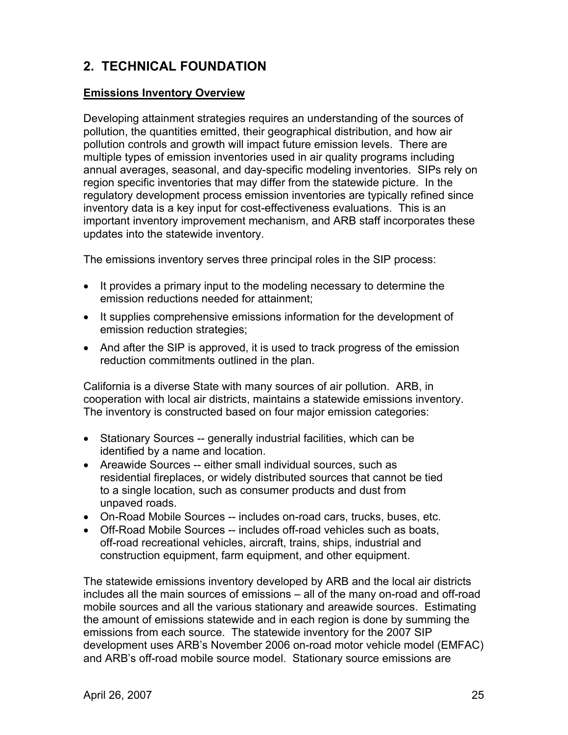# **2. TECHNICAL FOUNDATION**

#### **Emissions Inventory Overview**

Developing attainment strategies requires an understanding of the sources of pollution, the quantities emitted, their geographical distribution, and how air pollution controls and growth will impact future emission levels. There are multiple types of emission inventories used in air quality programs including annual averages, seasonal, and day-specific modeling inventories. SIPs rely on region specific inventories that may differ from the statewide picture. In the regulatory development process emission inventories are typically refined since inventory data is a key input for cost-effectiveness evaluations. This is an important inventory improvement mechanism, and ARB staff incorporates these updates into the statewide inventory.

The emissions inventory serves three principal roles in the SIP process:

- It provides a primary input to the modeling necessary to determine the emission reductions needed for attainment;
- It supplies comprehensive emissions information for the development of emission reduction strategies;
- And after the SIP is approved, it is used to track progress of the emission reduction commitments outlined in the plan.

California is a diverse State with many sources of air pollution. ARB, in cooperation with local air districts, maintains a statewide emissions inventory. The inventory is constructed based on four major emission categories:

- Stationary Sources -- generally industrial facilities, which can be identified by a name and location.
- Areawide Sources -- either small individual sources, such as residential fireplaces, or widely distributed sources that cannot be tied to a single location, such as consumer products and dust from unpaved roads.
- On-Road Mobile Sources -- includes on-road cars, trucks, buses, etc.
- Off-Road Mobile Sources -- includes off-road vehicles such as boats, off-road recreational vehicles, aircraft, trains, ships, industrial and construction equipment, farm equipment, and other equipment.

The statewide emissions inventory developed by ARB and the local air districts includes all the main sources of emissions – all of the many on-road and off-road mobile sources and all the various stationary and areawide sources. Estimating the amount of emissions statewide and in each region is done by summing the emissions from each source. The statewide inventory for the 2007 SIP development uses ARB's November 2006 on-road motor vehicle model (EMFAC) and ARB's off-road mobile source model. Stationary source emissions are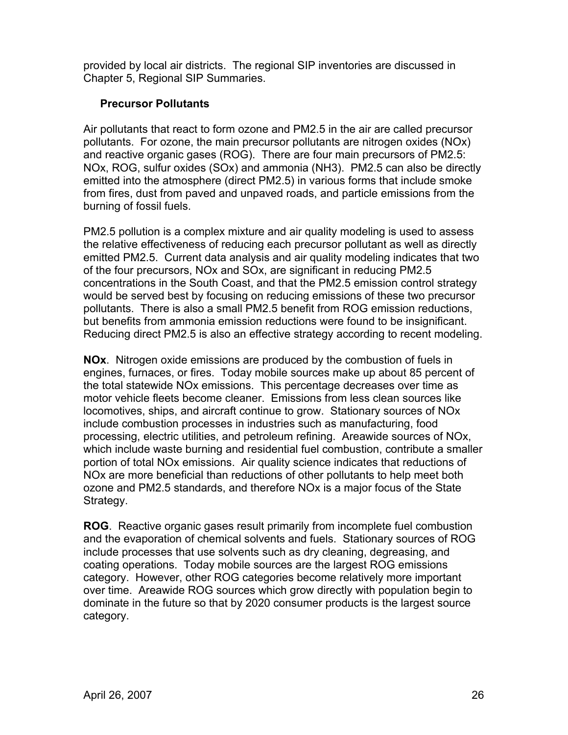provided by local air districts. The regional SIP inventories are discussed in Chapter 5, Regional SIP Summaries.

### **Precursor Pollutants**

Air pollutants that react to form ozone and PM2.5 in the air are called precursor pollutants. For ozone, the main precursor pollutants are nitrogen oxides (NOx) and reactive organic gases (ROG). There are four main precursors of PM2.5: NOx, ROG, sulfur oxides (SOx) and ammonia (NH3). PM2.5 can also be directly emitted into the atmosphere (direct PM2.5) in various forms that include smoke from fires, dust from paved and unpaved roads, and particle emissions from the burning of fossil fuels.

PM2.5 pollution is a complex mixture and air quality modeling is used to assess the relative effectiveness of reducing each precursor pollutant as well as directly emitted PM2.5. Current data analysis and air quality modeling indicates that two of the four precursors, NOx and SOx, are significant in reducing PM2.5 concentrations in the South Coast, and that the PM2.5 emission control strategy would be served best by focusing on reducing emissions of these two precursor pollutants. There is also a small PM2.5 benefit from ROG emission reductions, but benefits from ammonia emission reductions were found to be insignificant. Reducing direct PM2.5 is also an effective strategy according to recent modeling.

**NOx**. Nitrogen oxide emissions are produced by the combustion of fuels in engines, furnaces, or fires. Today mobile sources make up about 85 percent of the total statewide NOx emissions. This percentage decreases over time as motor vehicle fleets become cleaner. Emissions from less clean sources like locomotives, ships, and aircraft continue to grow. Stationary sources of NOx include combustion processes in industries such as manufacturing, food processing, electric utilities, and petroleum refining. Areawide sources of NOx, which include waste burning and residential fuel combustion, contribute a smaller portion of total NOx emissions. Air quality science indicates that reductions of NOx are more beneficial than reductions of other pollutants to help meet both ozone and PM2.5 standards, and therefore NOx is a major focus of the State Strategy.

**ROG**. Reactive organic gases result primarily from incomplete fuel combustion and the evaporation of chemical solvents and fuels. Stationary sources of ROG include processes that use solvents such as dry cleaning, degreasing, and coating operations. Today mobile sources are the largest ROG emissions category. However, other ROG categories become relatively more important over time. Areawide ROG sources which grow directly with population begin to dominate in the future so that by 2020 consumer products is the largest source category.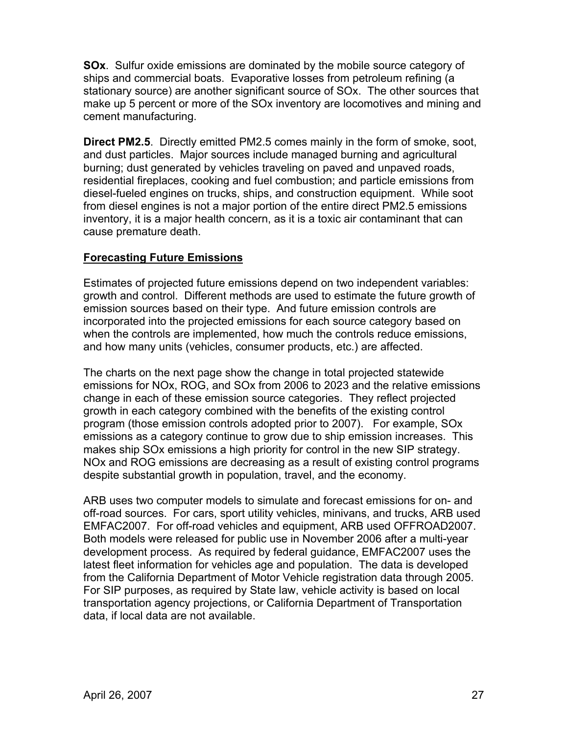**SOx**. Sulfur oxide emissions are dominated by the mobile source category of ships and commercial boats. Evaporative losses from petroleum refining (a stationary source) are another significant source of SOx. The other sources that make up 5 percent or more of the SOx inventory are locomotives and mining and cement manufacturing.

**Direct PM2.5**. Directly emitted PM2.5 comes mainly in the form of smoke, soot, and dust particles. Major sources include managed burning and agricultural burning; dust generated by vehicles traveling on paved and unpaved roads, residential fireplaces, cooking and fuel combustion; and particle emissions from diesel-fueled engines on trucks, ships, and construction equipment. While soot from diesel engines is not a major portion of the entire direct PM2.5 emissions inventory, it is a major health concern, as it is a toxic air contaminant that can cause premature death.

### **Forecasting Future Emissions**

Estimates of projected future emissions depend on two independent variables: growth and control. Different methods are used to estimate the future growth of emission sources based on their type. And future emission controls are incorporated into the projected emissions for each source category based on when the controls are implemented, how much the controls reduce emissions, and how many units (vehicles, consumer products, etc.) are affected.

The charts on the next page show the change in total projected statewide emissions for NOx, ROG, and SOx from 2006 to 2023 and the relative emissions change in each of these emission source categories. They reflect projected growth in each category combined with the benefits of the existing control program (those emission controls adopted prior to 2007). For example, SOx emissions as a category continue to grow due to ship emission increases. This makes ship SOx emissions a high priority for control in the new SIP strategy. NOx and ROG emissions are decreasing as a result of existing control programs despite substantial growth in population, travel, and the economy.

ARB uses two computer models to simulate and forecast emissions for on- and off-road sources. For cars, sport utility vehicles, minivans, and trucks, ARB used EMFAC2007. For off-road vehicles and equipment, ARB used OFFROAD2007. Both models were released for public use in November 2006 after a multi-year development process. As required by federal guidance, EMFAC2007 uses the latest fleet information for vehicles age and population. The data is developed from the California Department of Motor Vehicle registration data through 2005. For SIP purposes, as required by State law, vehicle activity is based on local transportation agency projections, or California Department of Transportation data, if local data are not available.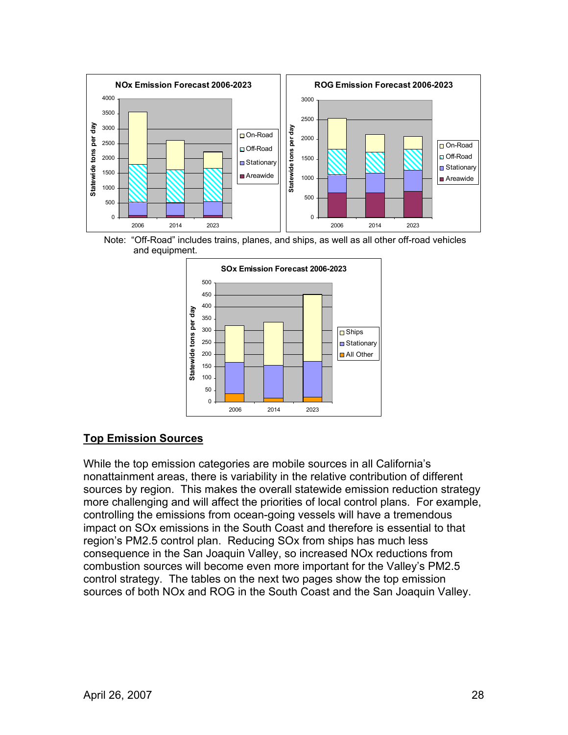





### **Top Emission Sources**

While the top emission categories are mobile sources in all California's nonattainment areas, there is variability in the relative contribution of different sources by region. This makes the overall statewide emission reduction strategy more challenging and will affect the priorities of local control plans. For example, controlling the emissions from ocean-going vessels will have a tremendous impact on SOx emissions in the South Coast and therefore is essential to that region's PM2.5 control plan. Reducing SOx from ships has much less consequence in the San Joaquin Valley, so increased NOx reductions from combustion sources will become even more important for the Valley's PM2.5 control strategy. The tables on the next two pages show the top emission sources of both NOx and ROG in the South Coast and the San Joaquin Valley.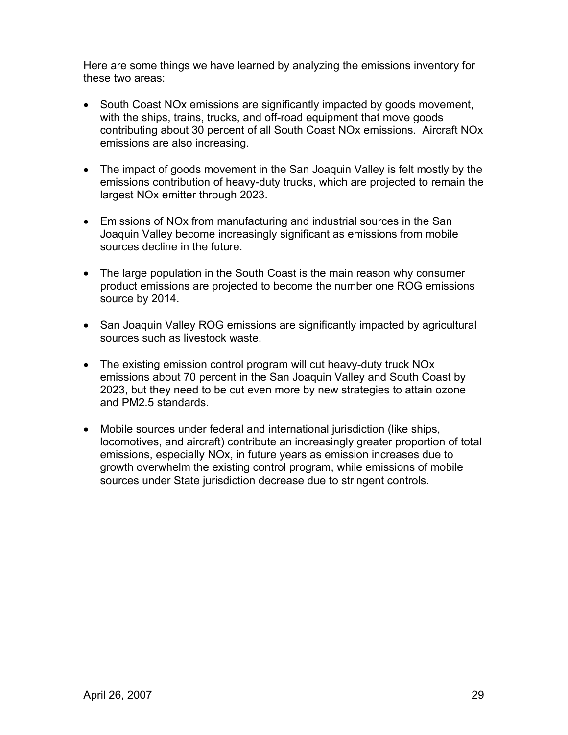Here are some things we have learned by analyzing the emissions inventory for these two areas:

- South Coast NOx emissions are significantly impacted by goods movement, with the ships, trains, trucks, and off-road equipment that move goods contributing about 30 percent of all South Coast NOx emissions. Aircraft NOx emissions are also increasing.
- The impact of goods movement in the San Joaquin Valley is felt mostly by the emissions contribution of heavy-duty trucks, which are projected to remain the largest NOx emitter through 2023.
- Emissions of NOx from manufacturing and industrial sources in the San Joaquin Valley become increasingly significant as emissions from mobile sources decline in the future.
- The large population in the South Coast is the main reason why consumer product emissions are projected to become the number one ROG emissions source by 2014.
- San Joaquin Valley ROG emissions are significantly impacted by agricultural sources such as livestock waste.
- The existing emission control program will cut heavy-duty truck NO<sub>x</sub> emissions about 70 percent in the San Joaquin Valley and South Coast by 2023, but they need to be cut even more by new strategies to attain ozone and PM2.5 standards.
- Mobile sources under federal and international jurisdiction (like ships, locomotives, and aircraft) contribute an increasingly greater proportion of total emissions, especially NOx, in future years as emission increases due to growth overwhelm the existing control program, while emissions of mobile sources under State jurisdiction decrease due to stringent controls.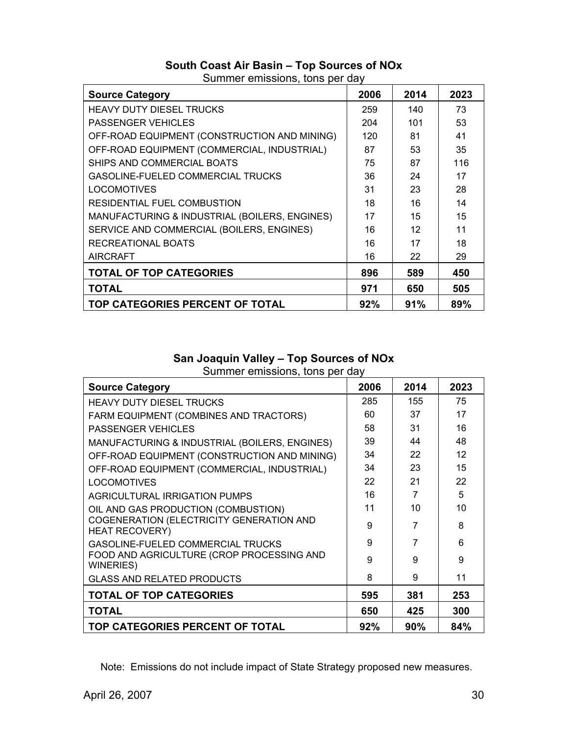| <b>Source Category</b>                        | 2006 | 2014            | 2023 |
|-----------------------------------------------|------|-----------------|------|
| <b>HEAVY DUTY DIESEL TRUCKS</b>               | 259  | 140             | 73   |
| <b>PASSENGER VEHICLES</b>                     | 204  | 101             | 53   |
| OFF-ROAD EQUIPMENT (CONSTRUCTION AND MINING)  | 120  | 81              | 41   |
| OFF-ROAD EQUIPMENT (COMMERCIAL, INDUSTRIAL)   | 87   | 53              | 35   |
| SHIPS AND COMMERCIAL BOATS                    | 75   | 87              | 116  |
| GASOLINE-FUELED COMMERCIAL TRUCKS             | 36   | 24              | 17   |
| <b>LOCOMOTIVES</b>                            | 31   | 23              | 28   |
| RESIDENTIAL FUEL COMBUSTION                   | 18   | 16              | 14   |
| MANUFACTURING & INDUSTRIAL (BOILERS, ENGINES) | 17   | 15              | 15   |
| SERVICE AND COMMERCIAL (BOILERS, ENGINES)     | 16   | 12 <sup>°</sup> | 11   |
| RECREATIONAL BOATS                            | 16   | 17              | 18   |
| <b>AIRCRAFT</b>                               | 16   | 22              | 29   |
| <b>TOTAL OF TOP CATEGORIES</b>                |      | 589             | 450  |
| <b>TOTAL</b>                                  |      | 650             | 505  |
| TOP CATEGORIES PERCENT OF TOTAL               |      | 91%             | 89%  |

# **South Coast Air Basin – Top Sources of NOx**

Summer emissions, tons per day

# **San Joaquin Valley – Top Sources of NOx**

| <b>Source Category</b>                                            | 2006 | 2014 | 2023 |
|-------------------------------------------------------------------|------|------|------|
| <b>HEAVY DUTY DIESEL TRUCKS</b>                                   | 285  | 155  | 75   |
| FARM EQUIPMENT (COMBINES AND TRACTORS)                            | 60   | 37   | 17   |
| <b>PASSENGER VEHICLES</b>                                         | 58   | 31   | 16   |
| MANUFACTURING & INDUSTRIAL (BOILERS, ENGINES)                     | 39   | 44   | 48   |
| OFF-ROAD EQUIPMENT (CONSTRUCTION AND MINING)                      | 34   | 22   | 12   |
| OFF-ROAD EQUIPMENT (COMMERCIAL, INDUSTRIAL)                       | 34   | 23   | 15   |
| <b>LOCOMOTIVES</b>                                                | 22   | 21   | 22   |
| <b>AGRICULTURAL IRRIGATION PUMPS</b>                              | 16   | 7    | 5    |
| OIL AND GAS PRODUCTION (COMBUSTION)                               |      | 10   | 10   |
| COGENERATION (ELECTRICITY GENERATION AND<br><b>HEAT RECOVERY)</b> | 9    | 7    | 8    |
| <b>GASOLINE-FUELED COMMERCIAL TRUCKS</b>                          | 9    | 7    | 6    |
| FOOD AND AGRICULTURE (CROP PROCESSING AND<br><b>WINERIES</b> )    | 9    | 9    | 9    |
| <b>GLASS AND RELATED PRODUCTS</b>                                 | 8    | 9    | 11   |
| <b>TOTAL OF TOP CATEGORIES</b>                                    |      | 381  | 253  |
| <b>TOTAL</b>                                                      | 650  | 425  | 300  |
| TOP CATEGORIES PERCENT OF TOTAL                                   |      | 90%  | 84%  |

Summer emissions, tons per day

Note: Emissions do not include impact of State Strategy proposed new measures.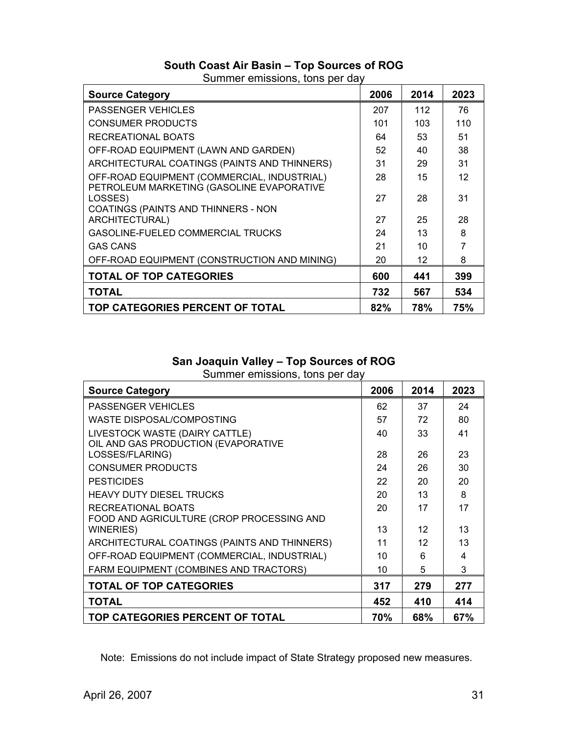## **South Coast Air Basin – Top Sources of ROG**

|--|

| <b>Source Category</b>                                                                      | 2006 | 2014 | 2023 |
|---------------------------------------------------------------------------------------------|------|------|------|
| <b>PASSENGER VEHICLES</b>                                                                   | 207  | 112  | 76   |
| <b>CONSUMER PRODUCTS</b>                                                                    | 101  | 103  | 110  |
| RECREATIONAL BOATS                                                                          | 64   | 53   | 51   |
| OFF-ROAD EQUIPMENT (LAWN AND GARDEN)                                                        | 52   | 40   | 38   |
| ARCHITECTURAL COATINGS (PAINTS AND THINNERS)                                                | 31   | 29   | 31   |
| OFF-ROAD EQUIPMENT (COMMERCIAL, INDUSTRIAL)                                                 | 28   | 15   | 12   |
| PETROLEUM MARKETING (GASOLINE EVAPORATIVE<br>LOSSES)<br>COATINGS (PAINTS AND THINNERS - NON | 27   | 28   | 31   |
| ARCHITECTURAL)                                                                              | 27   | 25   | 28   |
| GASOLINE-FUELED COMMERCIAL TRUCKS                                                           | 24   | 13   | 8    |
| <b>GAS CANS</b>                                                                             | 21   | 10   |      |
| OFF-ROAD EQUIPMENT (CONSTRUCTION AND MINING)                                                | 20   | 12   | 8    |
| <b>TOTAL OF TOP CATEGORIES</b>                                                              | 600  | 441  | 399  |
| <b>TOTAL</b>                                                                                | 732  | 567  | 534  |
| TOP CATEGORIES PERCENT OF TOTAL                                                             |      | 78%  | 75%  |

# **San Joaquin Valley – Top Sources of ROG**

| <b>Source Category</b>                                                | 2006 | 2014 | 2023 |
|-----------------------------------------------------------------------|------|------|------|
| <b>PASSENGER VEHICLES</b>                                             | 62   | 37   | 24   |
| WASTE DISPOSAL/COMPOSTING                                             | 57   | 72   | 80   |
| LIVESTOCK WASTE (DAIRY CATTLE)<br>OIL AND GAS PRODUCTION (EVAPORATIVE | 40   | 33   | 41   |
| LOSSES/FLARING)                                                       | 28   | 26   | 23   |
| <b>CONSUMER PRODUCTS</b>                                              | 24   | 26   | 30   |
| <b>PESTICIDES</b>                                                     | 22   | 20   | 20   |
| <b>HEAVY DUTY DIESEL TRUCKS</b>                                       | 20   | 13   | 8    |
| RECREATIONAL BOATS<br>FOOD AND AGRICULTURE (CROP PROCESSING AND       | 20   | 17   | 17   |
| WINERIES)                                                             | 13   | 12   | 13   |
| ARCHITECTURAL COATINGS (PAINTS AND THINNERS)                          | 11   | 12   | 13   |
| OFF-ROAD EQUIPMENT (COMMERCIAL, INDUSTRIAL)                           | 10   | 6    | 4    |
| FARM EQUIPMENT (COMBINES AND TRACTORS)                                | 10   | 5    | 3    |
| <b>TOTAL OF TOP CATEGORIES</b>                                        | 317  | 279  | 277  |
| <b>TOTAL</b>                                                          | 452  | 410  | 414  |
| TOP CATEGORIES PERCENT OF TOTAL                                       |      | 68%  | 67%  |

Summer emissions, tons per day

Note: Emissions do not include impact of State Strategy proposed new measures.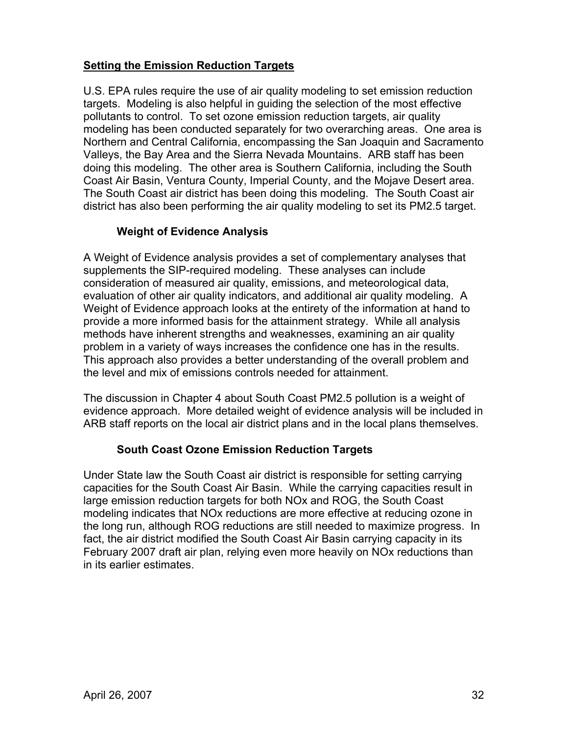### **Setting the Emission Reduction Targets**

U.S. EPA rules require the use of air quality modeling to set emission reduction targets. Modeling is also helpful in guiding the selection of the most effective pollutants to control. To set ozone emission reduction targets, air quality modeling has been conducted separately for two overarching areas. One area is Northern and Central California, encompassing the San Joaquin and Sacramento Valleys, the Bay Area and the Sierra Nevada Mountains. ARB staff has been doing this modeling. The other area is Southern California, including the South Coast Air Basin, Ventura County, Imperial County, and the Mojave Desert area. The South Coast air district has been doing this modeling. The South Coast air district has also been performing the air quality modeling to set its PM2.5 target.

### **Weight of Evidence Analysis**

A Weight of Evidence analysis provides a set of complementary analyses that supplements the SIP-required modeling. These analyses can include consideration of measured air quality, emissions, and meteorological data, evaluation of other air quality indicators, and additional air quality modeling. A Weight of Evidence approach looks at the entirety of the information at hand to provide a more informed basis for the attainment strategy. While all analysis methods have inherent strengths and weaknesses, examining an air quality problem in a variety of ways increases the confidence one has in the results. This approach also provides a better understanding of the overall problem and the level and mix of emissions controls needed for attainment.

The discussion in Chapter 4 about South Coast PM2.5 pollution is a weight of evidence approach. More detailed weight of evidence analysis will be included in ARB staff reports on the local air district plans and in the local plans themselves.

### **South Coast Ozone Emission Reduction Targets**

Under State law the South Coast air district is responsible for setting carrying capacities for the South Coast Air Basin. While the carrying capacities result in large emission reduction targets for both NOx and ROG, the South Coast modeling indicates that NOx reductions are more effective at reducing ozone in the long run, although ROG reductions are still needed to maximize progress. In fact, the air district modified the South Coast Air Basin carrying capacity in its February 2007 draft air plan, relying even more heavily on NOx reductions than in its earlier estimates.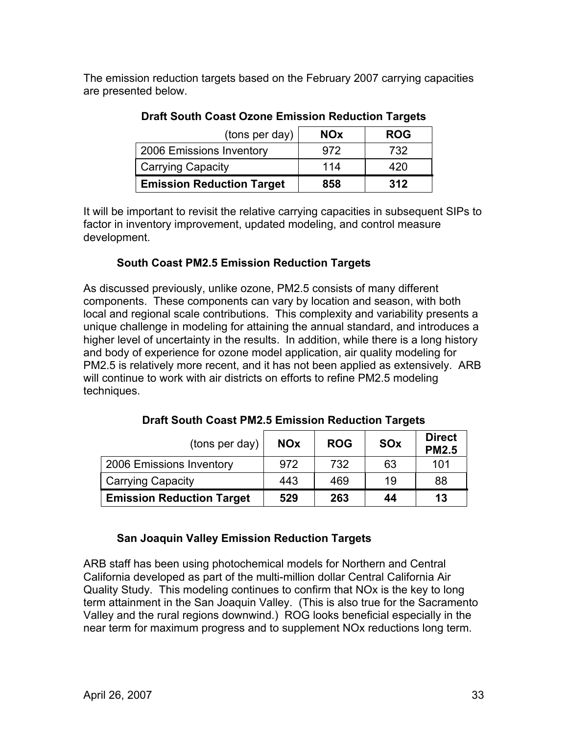The emission reduction targets based on the February 2007 carrying capacities are presented below.

| (tons per day)                   | <b>NOx</b> | <b>ROG</b> |
|----------------------------------|------------|------------|
| 2006 Emissions Inventory         | 972        | 732        |
| <b>Carrying Capacity</b>         | 114        | 420        |
| <b>Emission Reduction Target</b> | 858        | 312        |

**Draft South Coast Ozone Emission Reduction Targets** 

It will be important to revisit the relative carrying capacities in subsequent SIPs to factor in inventory improvement, updated modeling, and control measure development.

### **South Coast PM2.5 Emission Reduction Targets**

As discussed previously, unlike ozone, PM2.5 consists of many different components. These components can vary by location and season, with both local and regional scale contributions. This complexity and variability presents a unique challenge in modeling for attaining the annual standard, and introduces a higher level of uncertainty in the results. In addition, while there is a long history and body of experience for ozone model application, air quality modeling for PM2.5 is relatively more recent, and it has not been applied as extensively. ARB will continue to work with air districts on efforts to refine PM2.5 modeling techniques.

| (tons per day)                   | <b>NOx</b> | <b>ROG</b> | <b>SOx</b> | <b>Direct</b><br><b>PM2.5</b> |
|----------------------------------|------------|------------|------------|-------------------------------|
| 2006 Emissions Inventory         | 972        | 732        | 63         | 101                           |
| <b>Carrying Capacity</b>         | 443        | 469        | 19         | 88                            |
| <b>Emission Reduction Target</b> | 529        | 263        | 44         | 13                            |

**Draft South Coast PM2.5 Emission Reduction Targets** 

### **San Joaquin Valley Emission Reduction Targets**

ARB staff has been using photochemical models for Northern and Central California developed as part of the multi-million dollar Central California Air Quality Study. This modeling continues to confirm that NOx is the key to long term attainment in the San Joaquin Valley. (This is also true for the Sacramento Valley and the rural regions downwind.) ROG looks beneficial especially in the near term for maximum progress and to supplement NOx reductions long term.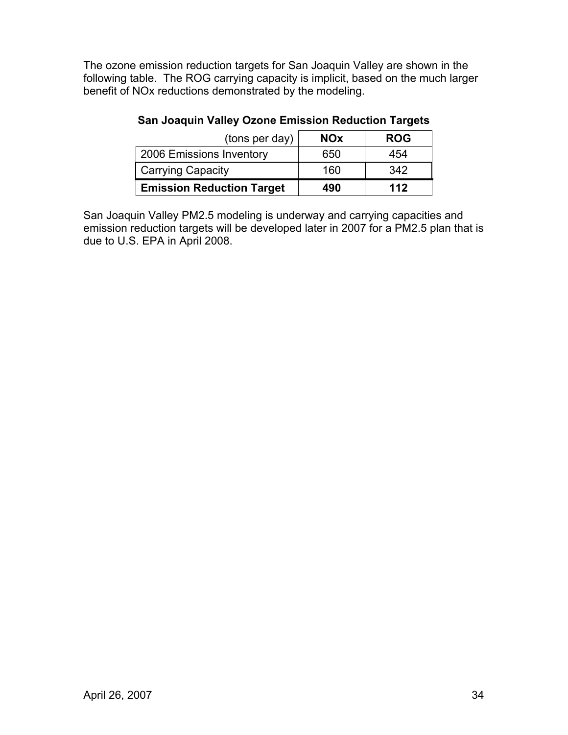The ozone emission reduction targets for San Joaquin Valley are shown in the following table. The ROG carrying capacity is implicit, based on the much larger benefit of NOx reductions demonstrated by the modeling.

| (tons per day)                   | <b>NOx</b> | <b>ROG</b> |
|----------------------------------|------------|------------|
| 2006 Emissions Inventory         | 650        | 454        |
| <b>Carrying Capacity</b>         | 160        | 342        |
| <b>Emission Reduction Target</b> | 490        | 112        |

### **San Joaquin Valley Ozone Emission Reduction Targets**

San Joaquin Valley PM2.5 modeling is underway and carrying capacities and emission reduction targets will be developed later in 2007 for a PM2.5 plan that is due to U.S. EPA in April 2008.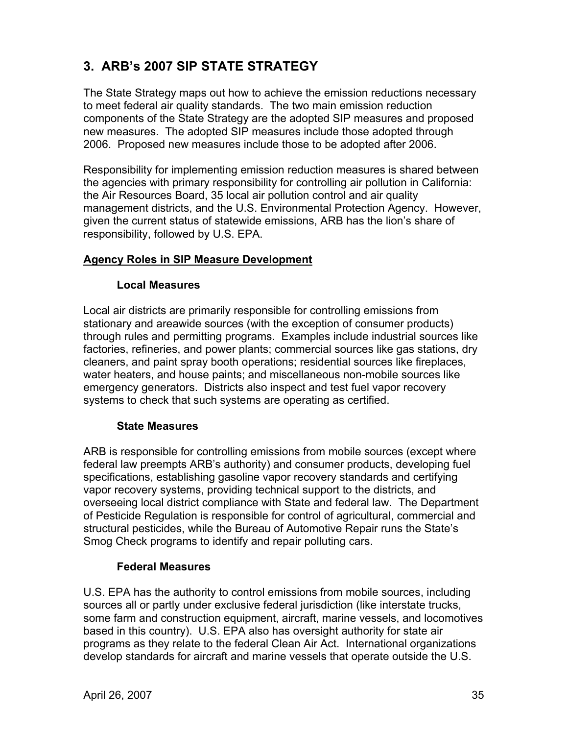# **3. ARB's 2007 SIP STATE STRATEGY**

The State Strategy maps out how to achieve the emission reductions necessary to meet federal air quality standards. The two main emission reduction components of the State Strategy are the adopted SIP measures and proposed new measures. The adopted SIP measures include those adopted through 2006. Proposed new measures include those to be adopted after 2006.

Responsibility for implementing emission reduction measures is shared between the agencies with primary responsibility for controlling air pollution in California: the Air Resources Board, 35 local air pollution control and air quality management districts, and the U.S. Environmental Protection Agency. However, given the current status of statewide emissions, ARB has the lion's share of responsibility, followed by U.S. EPA.

### **Agency Roles in SIP Measure Development**

#### **Local Measures**

Local air districts are primarily responsible for controlling emissions from stationary and areawide sources (with the exception of consumer products) through rules and permitting programs. Examples include industrial sources like factories, refineries, and power plants; commercial sources like gas stations, dry cleaners, and paint spray booth operations; residential sources like fireplaces, water heaters, and house paints; and miscellaneous non-mobile sources like emergency generators. Districts also inspect and test fuel vapor recovery systems to check that such systems are operating as certified.

#### **State Measures**

ARB is responsible for controlling emissions from mobile sources (except where federal law preempts ARB's authority) and consumer products, developing fuel specifications, establishing gasoline vapor recovery standards and certifying vapor recovery systems, providing technical support to the districts, and overseeing local district compliance with State and federal law. The Department of Pesticide Regulation is responsible for control of agricultural, commercial and structural pesticides, while the Bureau of Automotive Repair runs the State's Smog Check programs to identify and repair polluting cars.

### **Federal Measures**

U.S. EPA has the authority to control emissions from mobile sources, including sources all or partly under exclusive federal jurisdiction (like interstate trucks, some farm and construction equipment, aircraft, marine vessels, and locomotives based in this country). U.S. EPA also has oversight authority for state air programs as they relate to the federal Clean Air Act. International organizations develop standards for aircraft and marine vessels that operate outside the U.S.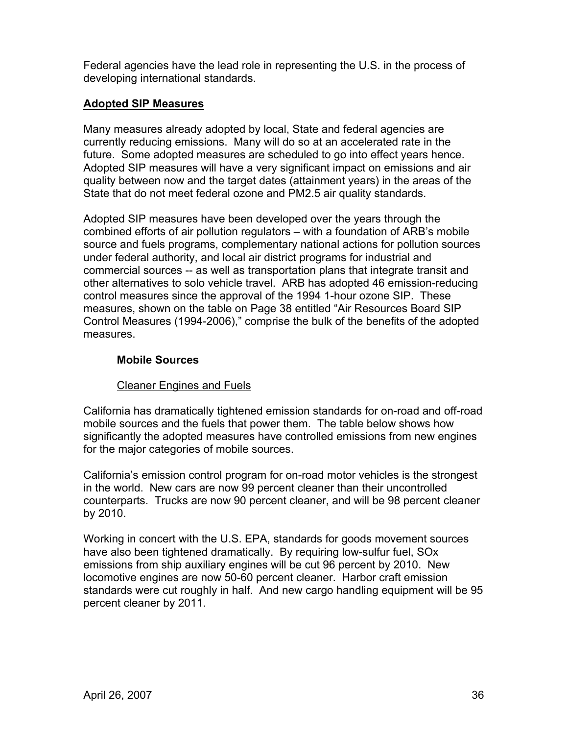Federal agencies have the lead role in representing the U.S. in the process of developing international standards.

### **Adopted SIP Measures**

Many measures already adopted by local, State and federal agencies are currently reducing emissions. Many will do so at an accelerated rate in the future. Some adopted measures are scheduled to go into effect years hence. Adopted SIP measures will have a very significant impact on emissions and air quality between now and the target dates (attainment years) in the areas of the State that do not meet federal ozone and PM2.5 air quality standards.

Adopted SIP measures have been developed over the years through the combined efforts of air pollution regulators – with a foundation of ARB's mobile source and fuels programs, complementary national actions for pollution sources under federal authority, and local air district programs for industrial and commercial sources -- as well as transportation plans that integrate transit and other alternatives to solo vehicle travel. ARB has adopted 46 emission-reducing control measures since the approval of the 1994 1-hour ozone SIP. These measures, shown on the table on Page 38 entitled "Air Resources Board SIP Control Measures (1994-2006)," comprise the bulk of the benefits of the adopted measures.

### **Mobile Sources**

### Cleaner Engines and Fuels

California has dramatically tightened emission standards for on-road and off-road mobile sources and the fuels that power them. The table below shows how significantly the adopted measures have controlled emissions from new engines for the major categories of mobile sources.

California's emission control program for on-road motor vehicles is the strongest in the world. New cars are now 99 percent cleaner than their uncontrolled counterparts. Trucks are now 90 percent cleaner, and will be 98 percent cleaner by 2010.

Working in concert with the U.S. EPA, standards for goods movement sources have also been tightened dramatically. By requiring low-sulfur fuel, SOx emissions from ship auxiliary engines will be cut 96 percent by 2010. New locomotive engines are now 50-60 percent cleaner. Harbor craft emission standards were cut roughly in half. And new cargo handling equipment will be 95 percent cleaner by 2011.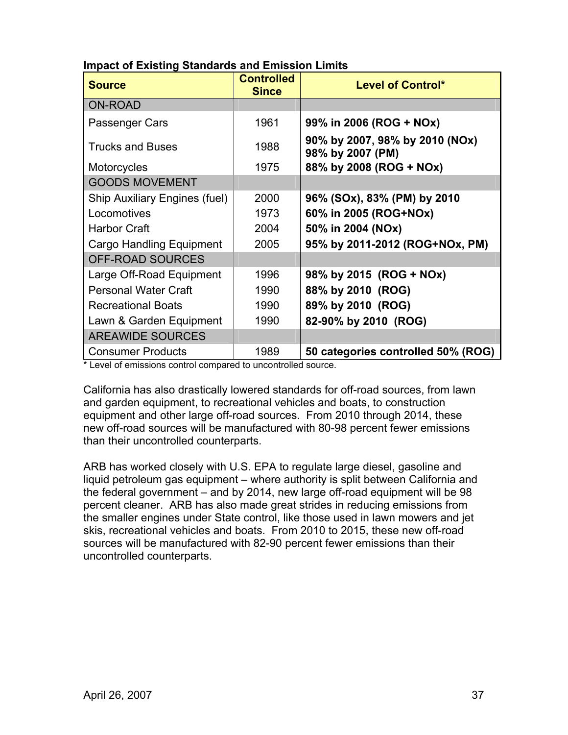| <b>Source</b>                 | <b>Controlled</b><br><b>Since</b> | <b>Level of Control*</b>                           |
|-------------------------------|-----------------------------------|----------------------------------------------------|
| <b>ON-ROAD</b>                |                                   |                                                    |
| Passenger Cars                | 1961                              | 99% in 2006 (ROG + NOx)                            |
| <b>Trucks and Buses</b>       | 1988                              | 90% by 2007, 98% by 2010 (NOx)<br>98% by 2007 (PM) |
| <b>Motorcycles</b>            | 1975                              | 88% by 2008 (ROG + NOx)                            |
| <b>GOODS MOVEMENT</b>         |                                   |                                                    |
| Ship Auxiliary Engines (fuel) | 2000                              | 96% (SOx), 83% (PM) by 2010                        |
| Locomotives                   | 1973                              | 60% in 2005 (ROG+NOx)                              |
| <b>Harbor Craft</b>           | 2004                              | 50% in 2004 (NOx)                                  |
| Cargo Handling Equipment      | 2005                              | 95% by 2011-2012 (ROG+NOx, PM)                     |
| <b>OFF-ROAD SOURCES</b>       |                                   |                                                    |
| Large Off-Road Equipment      | 1996                              | 98% by 2015 (ROG + NOx)                            |
| <b>Personal Water Craft</b>   | 1990                              | 88% by 2010 (ROG)                                  |
| <b>Recreational Boats</b>     | 1990                              | 89% by 2010 (ROG)                                  |
| Lawn & Garden Equipment       | 1990                              | 82-90% by 2010 (ROG)                               |
| <b>AREAWIDE SOURCES</b>       |                                   |                                                    |
| <b>Consumer Products</b>      | 1989                              | 50 categories controlled 50% (ROG)                 |

### **Impact of Existing Standards and Emission Limits**

\* Level of emissions control compared to uncontrolled source.

California has also drastically lowered standards for off-road sources, from lawn and garden equipment, to recreational vehicles and boats, to construction equipment and other large off-road sources. From 2010 through 2014, these new off-road sources will be manufactured with 80-98 percent fewer emissions than their uncontrolled counterparts.

ARB has worked closely with U.S. EPA to regulate large diesel, gasoline and liquid petroleum gas equipment – where authority is split between California and the federal government – and by 2014, new large off-road equipment will be 98 percent cleaner. ARB has also made great strides in reducing emissions from the smaller engines under State control, like those used in lawn mowers and jet skis, recreational vehicles and boats. From 2010 to 2015, these new off-road sources will be manufactured with 82-90 percent fewer emissions than their uncontrolled counterparts.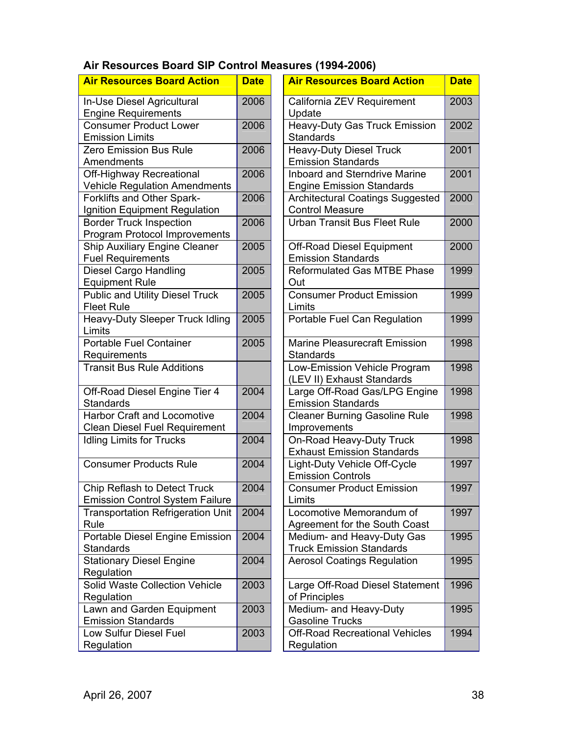| Air Resources Board SIP Control Measures (1994-2006) |  |  |  |
|------------------------------------------------------|--|--|--|
|                                                      |  |  |  |

| <b>Air Resources Board Action</b>                                          | <b>Date</b> | <b>Air Resources Board Action</b>                                        |
|----------------------------------------------------------------------------|-------------|--------------------------------------------------------------------------|
| In-Use Diesel Agricultural<br><b>Engine Requirements</b>                   | 2006        | California ZEV Requirement<br>Update                                     |
| <b>Consumer Product Lower</b><br><b>Emission Limits</b>                    | 2006        | Heavy-Duty Gas Truck Emissior<br><b>Standards</b>                        |
| Zero Emission Bus Rule<br>Amendments                                       | 2006        | <b>Heavy-Duty Diesel Truck</b><br><b>Emission Standards</b>              |
| Off-Highway Recreational<br><b>Vehicle Regulation Amendments</b>           | 2006        | <b>Inboard and Sterndrive Marine</b><br><b>Engine Emission Standards</b> |
| Forklifts and Other Spark-<br>Ignition Equipment Regulation                | 2006        | <b>Architectural Coatings Suggeste</b><br><b>Control Measure</b>         |
| <b>Border Truck Inspection</b><br>Program Protocol Improvements            | 2006        | Urban Transit Bus Fleet Rule                                             |
| <b>Ship Auxiliary Engine Cleaner</b><br><b>Fuel Requirements</b>           | 2005        | <b>Off-Road Diesel Equipment</b><br><b>Emission Standards</b>            |
| Diesel Cargo Handling<br><b>Equipment Rule</b>                             | 2005        | <b>Reformulated Gas MTBE Phase</b><br>Out                                |
| <b>Public and Utility Diesel Truck</b><br><b>Fleet Rule</b>                | 2005        | <b>Consumer Product Emission</b><br>Limits                               |
| Heavy-Duty Sleeper Truck Idling<br>Limits                                  | 2005        | Portable Fuel Can Regulation                                             |
| <b>Portable Fuel Container</b><br>Requirements                             | 2005        | <b>Marine Pleasurecraft Emission</b><br>Standards                        |
| <b>Transit Bus Rule Additions</b>                                          |             | Low-Emission Vehicle Program<br>(LEV II) Exhaust Standards               |
| Off-Road Diesel Engine Tier 4<br>Standards                                 | 2004        | Large Off-Road Gas/LPG Engin<br><b>Emission Standards</b>                |
| <b>Harbor Craft and Locomotive</b><br><b>Clean Diesel Fuel Requirement</b> | 2004        | <b>Cleaner Burning Gasoline Rule</b><br>Improvements                     |
| <b>Idling Limits for Trucks</b>                                            | 2004        | On-Road Heavy-Duty Truck<br><b>Exhaust Emission Standards</b>            |
| <b>Consumer Products Rule</b>                                              | 2004        | Light-Duty Vehicle Off-Cycle<br><b>Emission Controls</b>                 |
| Chip Reflash to Detect Truck<br><b>Emission Control System Failure</b>     | 2004        | <b>Consumer Product Emission</b><br>Limits                               |
| <b>Transportation Refrigeration Unit</b><br>Rule                           | 2004        | Locomotive Memorandum of<br>Agreement for the South Coast                |
| Portable Diesel Engine Emission<br><b>Standards</b>                        | 2004        | Medium- and Heavy-Duty Gas<br><b>Truck Emission Standards</b>            |
| <b>Stationary Diesel Engine</b><br>Regulation                              | 2004        | <b>Aerosol Coatings Regulation</b>                                       |
| Solid Waste Collection Vehicle<br>Regulation                               | 2003        | Large Off-Road Diesel Statemer<br>of Principles                          |
| Lawn and Garden Equipment<br><b>Emission Standards</b>                     | 2003        | Medium- and Heavy-Duty<br><b>Gasoline Trucks</b>                         |
| Low Sulfur Diesel Fuel<br>Regulation                                       | 2003        | <b>Off-Road Recreational Vehicles</b><br>Regulation                      |

| <b>Air Resources Board Action</b>                                             | <b>Date</b> | <b>Air Resources Board Action</b>                                        | <b>Date</b> |
|-------------------------------------------------------------------------------|-------------|--------------------------------------------------------------------------|-------------|
| In-Use Diesel Agricultural<br><b>Engine Requirements</b>                      | 2006        | California ZEV Requirement<br>Update                                     | 2003        |
| <b>Consumer Product Lower</b><br><b>Emission Limits</b>                       | 2006        | Heavy-Duty Gas Truck Emission<br>Standards                               | 2002        |
| Zero Emission Bus Rule<br>Amendments                                          | 2006        | <b>Heavy-Duty Diesel Truck</b><br><b>Emission Standards</b>              | 2001        |
| Off-Highway Recreational<br><b>Vehicle Regulation Amendments</b>              | 2006        | <b>Inboard and Sterndrive Marine</b><br><b>Engine Emission Standards</b> | 2001        |
| Forklifts and Other Spark-<br>Ignition Equipment Regulation                   | 2006        | <b>Architectural Coatings Suggested</b><br><b>Control Measure</b>        | 2000        |
| <b>Border Truck Inspection</b><br><b>Program Protocol Improvements</b>        | 2006        | <b>Urban Transit Bus Fleet Rule</b>                                      | 2000        |
| <b>Ship Auxiliary Engine Cleaner</b><br><b>Fuel Requirements</b>              | 2005        | <b>Off-Road Diesel Equipment</b><br><b>Emission Standards</b>            | 2000        |
| Diesel Cargo Handling<br><b>Equipment Rule</b>                                | 2005        | <b>Reformulated Gas MTBE Phase</b><br>Out                                | 1999        |
| <b>Public and Utility Diesel Truck</b><br><b>Fleet Rule</b>                   | 2005        | <b>Consumer Product Emission</b><br>Limits                               | 1999        |
| Heavy-Duty Sleeper Truck Idling<br>Limits                                     | 2005        | Portable Fuel Can Regulation                                             | 1999        |
| <b>Portable Fuel Container</b><br>Requirements                                | 2005        | <b>Marine Pleasurecraft Emission</b><br>Standards                        | 1998        |
| <b>Transit Bus Rule Additions</b>                                             |             | Low-Emission Vehicle Program<br>(LEV II) Exhaust Standards               | 1998        |
| Off-Road Diesel Engine Tier 4<br>Standards                                    | 2004        | Large Off-Road Gas/LPG Engine<br><b>Emission Standards</b>               | 1998        |
| <b>Harbor Craft and Locomotive</b><br><b>Clean Diesel Fuel Requirement</b>    | 2004        | <b>Cleaner Burning Gasoline Rule</b><br>Improvements                     | 1998        |
| <b>Idling Limits for Trucks</b>                                               | 2004        | On-Road Heavy-Duty Truck<br><b>Exhaust Emission Standards</b>            | 1998        |
| <b>Consumer Products Rule</b>                                                 | 2004        | Light-Duty Vehicle Off-Cycle<br><b>Emission Controls</b>                 | 1997        |
| <b>Chip Reflash to Detect Truck</b><br><b>Emission Control System Failure</b> | 2004        | <b>Consumer Product Emission</b><br>Limits                               | 1997        |
| <b>Transportation Refrigeration Unit</b><br>Rule                              | 2004        | Locomotive Memorandum of<br>Agreement for the South Coast                | 1997        |
| Portable Diesel Engine Emission<br><b>Standards</b>                           | 2004        | Medium- and Heavy-Duty Gas<br><b>Truck Emission Standards</b>            | 1995        |
| <b>Stationary Diesel Engine</b><br>Regulation                                 | 2004        | <b>Aerosol Coatings Regulation</b>                                       | 1995        |
| Solid Waste Collection Vehicle<br>Regulation                                  | 2003        | Large Off-Road Diesel Statement<br>of Principles                         | 1996        |
| Lawn and Garden Equipment<br><b>Emission Standards</b>                        | 2003        | Medium- and Heavy-Duty<br><b>Gasoline Trucks</b>                         | 1995        |
| Low Sulfur Diesel Fuel<br>Regulation                                          | 2003        | <b>Off-Road Recreational Vehicles</b><br>Regulation                      | 1994        |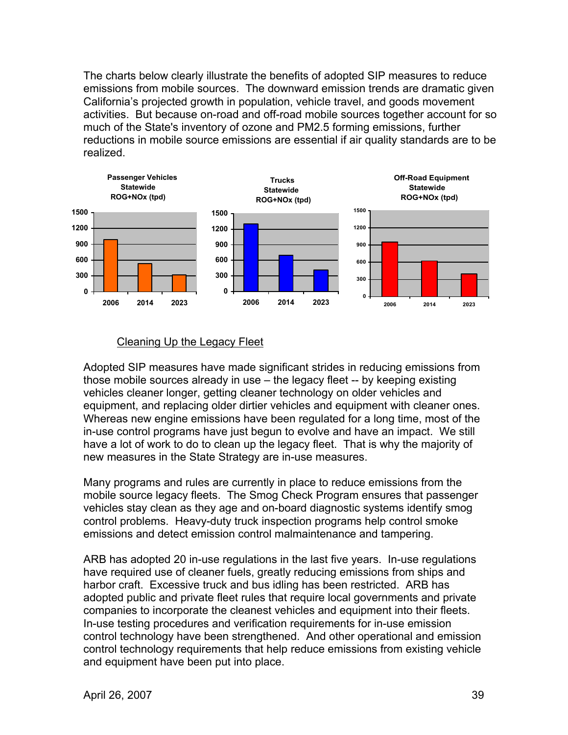The charts below clearly illustrate the benefits of adopted SIP measures to reduce emissions from mobile sources. The downward emission trends are dramatic given California's projected growth in population, vehicle travel, and goods movement activities. But because on-road and off-road mobile sources together account for so much of the State's inventory of ozone and PM2.5 forming emissions, further reductions in mobile source emissions are essential if air quality standards are to be realized.



#### Cleaning Up the Legacy Fleet

Adopted SIP measures have made significant strides in reducing emissions from those mobile sources already in use – the legacy fleet -- by keeping existing vehicles cleaner longer, getting cleaner technology on older vehicles and equipment, and replacing older dirtier vehicles and equipment with cleaner ones. Whereas new engine emissions have been regulated for a long time, most of the in-use control programs have just begun to evolve and have an impact. We still have a lot of work to do to clean up the legacy fleet. That is why the majority of new measures in the State Strategy are in-use measures.

Many programs and rules are currently in place to reduce emissions from the mobile source legacy fleets. The Smog Check Program ensures that passenger vehicles stay clean as they age and on-board diagnostic systems identify smog control problems. Heavy-duty truck inspection programs help control smoke emissions and detect emission control malmaintenance and tampering.

ARB has adopted 20 in-use regulations in the last five years. In-use regulations have required use of cleaner fuels, greatly reducing emissions from ships and harbor craft. Excessive truck and bus idling has been restricted. ARB has adopted public and private fleet rules that require local governments and private companies to incorporate the cleanest vehicles and equipment into their fleets. In-use testing procedures and verification requirements for in-use emission control technology have been strengthened. And other operational and emission control technology requirements that help reduce emissions from existing vehicle and equipment have been put into place.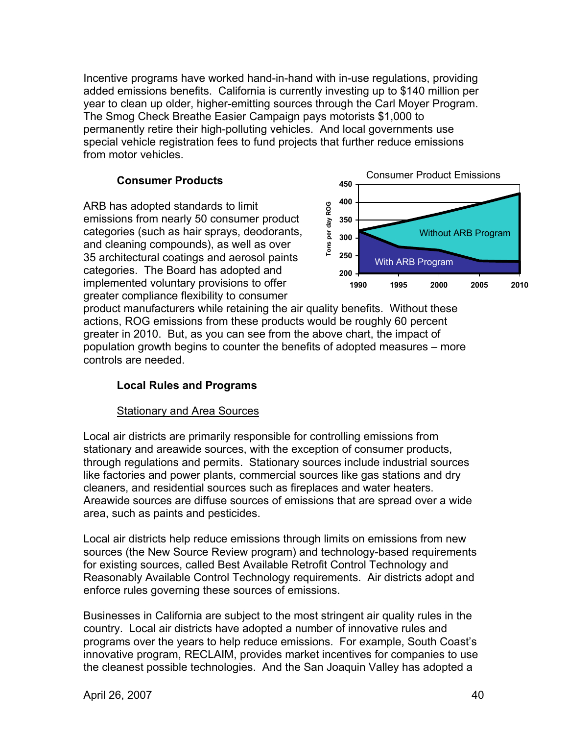Incentive programs have worked hand-in-hand with in-use regulations, providing added emissions benefits. California is currently investing up to \$140 million per year to clean up older, higher-emitting sources through the Carl Moyer Program. The Smog Check Breathe Easier Campaign pays motorists \$1,000 to permanently retire their high-polluting vehicles. And local governments use special vehicle registration fees to fund projects that further reduce emissions from motor vehicles.

#### **Consumer Products**

ARB has adopted standards to limit emissions from nearly 50 consumer product categories (such as hair sprays, deodorants, and cleaning compounds), as well as over 35 architectural coatings and aerosol paints categories. The Board has adopted and implemented voluntary provisions to offer greater compliance flexibility to consumer



product manufacturers while retaining the air quality benefits. Without these actions, ROG emissions from these products would be roughly 60 percent greater in 2010. But, as you can see from the above chart, the impact of population growth begins to counter the benefits of adopted measures – more controls are needed.

### **Local Rules and Programs**

#### Stationary and Area Sources

Local air districts are primarily responsible for controlling emissions from stationary and areawide sources, with the exception of consumer products, through regulations and permits. Stationary sources include industrial sources like factories and power plants, commercial sources like gas stations and dry cleaners, and residential sources such as fireplaces and water heaters. Areawide sources are diffuse sources of emissions that are spread over a wide area, such as paints and pesticides.

Local air districts help reduce emissions through limits on emissions from new sources (the New Source Review program) and technology-based requirements for existing sources, called Best Available Retrofit Control Technology and Reasonably Available Control Technology requirements. Air districts adopt and enforce rules governing these sources of emissions.

Businesses in California are subject to the most stringent air quality rules in the country. Local air districts have adopted a number of innovative rules and programs over the years to help reduce emissions. For example, South Coast's innovative program, RECLAIM, provides market incentives for companies to use the cleanest possible technologies. And the San Joaquin Valley has adopted a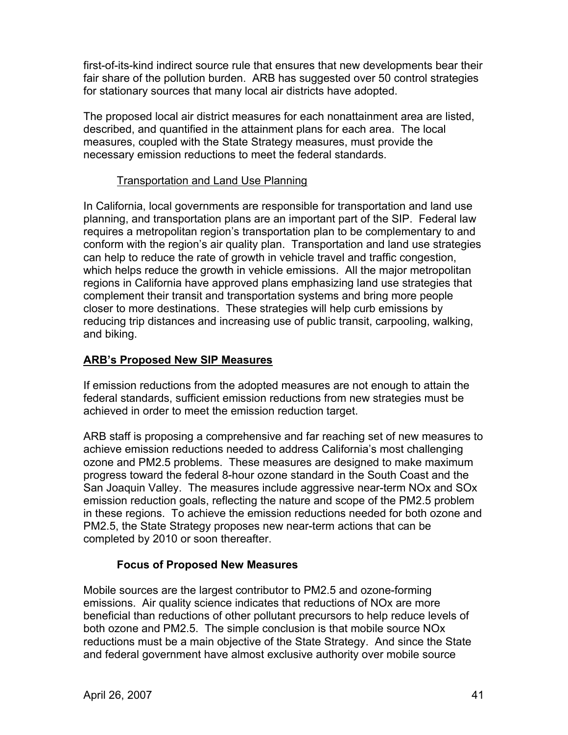first-of-its-kind indirect source rule that ensures that new developments bear their fair share of the pollution burden. ARB has suggested over 50 control strategies for stationary sources that many local air districts have adopted.

The proposed local air district measures for each nonattainment area are listed, described, and quantified in the attainment plans for each area. The local measures, coupled with the State Strategy measures, must provide the necessary emission reductions to meet the federal standards.

### Transportation and Land Use Planning

In California, local governments are responsible for transportation and land use planning, and transportation plans are an important part of the SIP. Federal law requires a metropolitan region's transportation plan to be complementary to and conform with the region's air quality plan. Transportation and land use strategies can help to reduce the rate of growth in vehicle travel and traffic congestion, which helps reduce the growth in vehicle emissions. All the major metropolitan regions in California have approved plans emphasizing land use strategies that complement their transit and transportation systems and bring more people closer to more destinations. These strategies will help curb emissions by reducing trip distances and increasing use of public transit, carpooling, walking, and biking.

### **ARB's Proposed New SIP Measures**

If emission reductions from the adopted measures are not enough to attain the federal standards, sufficient emission reductions from new strategies must be achieved in order to meet the emission reduction target.

ARB staff is proposing a comprehensive and far reaching set of new measures to achieve emission reductions needed to address California's most challenging ozone and PM2.5 problems. These measures are designed to make maximum progress toward the federal 8-hour ozone standard in the South Coast and the San Joaquin Valley. The measures include aggressive near-term NOx and SOx emission reduction goals, reflecting the nature and scope of the PM2.5 problem in these regions. To achieve the emission reductions needed for both ozone and PM2.5, the State Strategy proposes new near-term actions that can be completed by 2010 or soon thereafter.

### **Focus of Proposed New Measures**

Mobile sources are the largest contributor to PM2.5 and ozone-forming emissions. Air quality science indicates that reductions of NOx are more beneficial than reductions of other pollutant precursors to help reduce levels of both ozone and PM2.5. The simple conclusion is that mobile source NOx reductions must be a main objective of the State Strategy. And since the State and federal government have almost exclusive authority over mobile source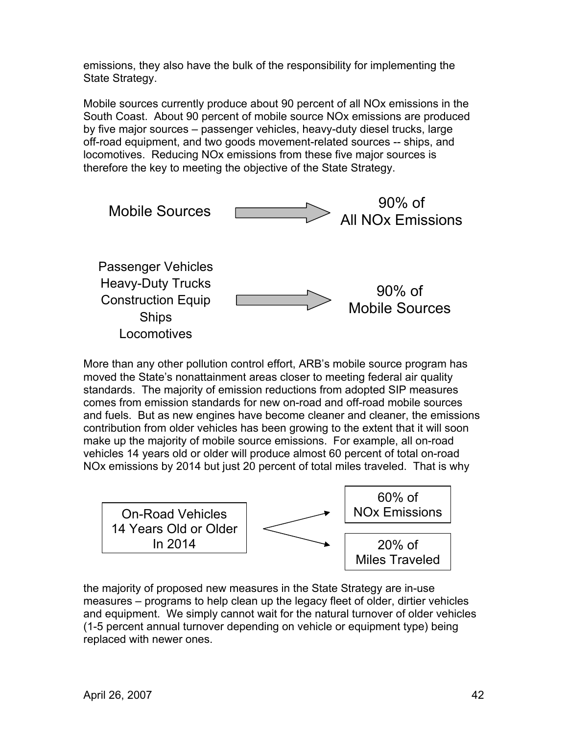emissions, they also have the bulk of the responsibility for implementing the State Strategy.

Mobile sources currently produce about 90 percent of all NOx emissions in the South Coast. About 90 percent of mobile source NOx emissions are produced by five major sources – passenger vehicles, heavy-duty diesel trucks, large off-road equipment, and two goods movement-related sources -- ships, and locomotives. Reducing NOx emissions from these five major sources is therefore the key to meeting the objective of the State Strategy.



More than any other pollution control effort, ARB's mobile source program has moved the State's nonattainment areas closer to meeting federal air quality standards. The majority of emission reductions from adopted SIP measures comes from emission standards for new on-road and off-road mobile sources and fuels. But as new engines have become cleaner and cleaner, the emissions contribution from older vehicles has been growing to the extent that it will soon make up the majority of mobile source emissions. For example, all on-road vehicles 14 years old or older will produce almost 60 percent of total on-road NOx emissions by 2014 but just 20 percent of total miles traveled. That is why



the majority of proposed new measures in the State Strategy are in-use measures – programs to help clean up the legacy fleet of older, dirtier vehicles and equipment. We simply cannot wait for the natural turnover of older vehicles (1-5 percent annual turnover depending on vehicle or equipment type) being replaced with newer ones.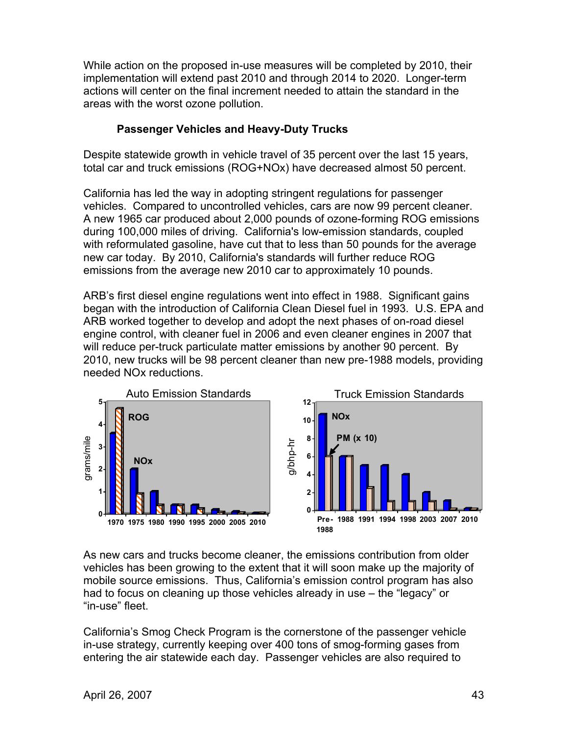While action on the proposed in-use measures will be completed by 2010, their implementation will extend past 2010 and through 2014 to 2020. Longer-term actions will center on the final increment needed to attain the standard in the areas with the worst ozone pollution.

### **Passenger Vehicles and Heavy-Duty Trucks**

Despite statewide growth in vehicle travel of 35 percent over the last 15 years, total car and truck emissions (ROG+NOx) have decreased almost 50 percent.

California has led the way in adopting stringent regulations for passenger vehicles. Compared to uncontrolled vehicles, cars are now 99 percent cleaner. A new 1965 car produced about 2,000 pounds of ozone-forming ROG emissions during 100,000 miles of driving. California's low-emission standards, coupled with reformulated gasoline, have cut that to less than 50 pounds for the average new car today. By 2010, California's standards will further reduce ROG emissions from the average new 2010 car to approximately 10 pounds.

ARB's first diesel engine regulations went into effect in 1988. Significant gains began with the introduction of California Clean Diesel fuel in 1993. U.S. EPA and ARB worked together to develop and adopt the next phases of on-road diesel engine control, with cleaner fuel in 2006 and even cleaner engines in 2007 that will reduce per-truck particulate matter emissions by another 90 percent. By 2010, new trucks will be 98 percent cleaner than new pre-1988 models, providing needed NOx reductions.



As new cars and trucks become cleaner, the emissions contribution from older vehicles has been growing to the extent that it will soon make up the majority of mobile source emissions. Thus, California's emission control program has also had to focus on cleaning up those vehicles already in use – the "legacy" or "in-use" fleet.

California's Smog Check Program is the cornerstone of the passenger vehicle in-use strategy, currently keeping over 400 tons of smog-forming gases from entering the air statewide each day. Passenger vehicles are also required to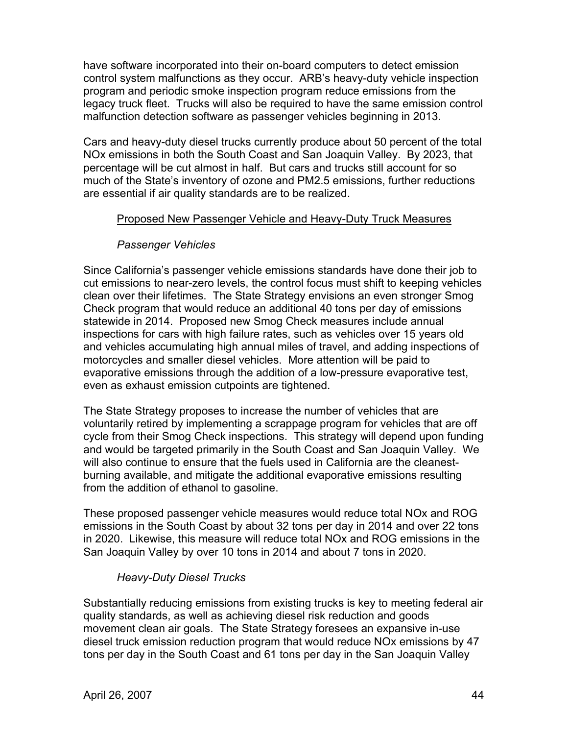have software incorporated into their on-board computers to detect emission control system malfunctions as they occur. ARB's heavy-duty vehicle inspection program and periodic smoke inspection program reduce emissions from the legacy truck fleet. Trucks will also be required to have the same emission control malfunction detection software as passenger vehicles beginning in 2013.

Cars and heavy-duty diesel trucks currently produce about 50 percent of the total NOx emissions in both the South Coast and San Joaquin Valley. By 2023, that percentage will be cut almost in half. But cars and trucks still account for so much of the State's inventory of ozone and PM2.5 emissions, further reductions are essential if air quality standards are to be realized.

#### Proposed New Passenger Vehicle and Heavy-Duty Truck Measures

#### *Passenger Vehicles*

Since California's passenger vehicle emissions standards have done their job to cut emissions to near-zero levels, the control focus must shift to keeping vehicles clean over their lifetimes. The State Strategy envisions an even stronger Smog Check program that would reduce an additional 40 tons per day of emissions statewide in 2014. Proposed new Smog Check measures include annual inspections for cars with high failure rates, such as vehicles over 15 years old and vehicles accumulating high annual miles of travel, and adding inspections of motorcycles and smaller diesel vehicles. More attention will be paid to evaporative emissions through the addition of a low-pressure evaporative test, even as exhaust emission cutpoints are tightened.

The State Strategy proposes to increase the number of vehicles that are voluntarily retired by implementing a scrappage program for vehicles that are off cycle from their Smog Check inspections. This strategy will depend upon funding and would be targeted primarily in the South Coast and San Joaquin Valley. We will also continue to ensure that the fuels used in California are the cleanestburning available, and mitigate the additional evaporative emissions resulting from the addition of ethanol to gasoline.

These proposed passenger vehicle measures would reduce total NOx and ROG emissions in the South Coast by about 32 tons per day in 2014 and over 22 tons in 2020. Likewise, this measure will reduce total NOx and ROG emissions in the San Joaquin Valley by over 10 tons in 2014 and about 7 tons in 2020.

### *Heavy-Duty Diesel Trucks*

Substantially reducing emissions from existing trucks is key to meeting federal air quality standards, as well as achieving diesel risk reduction and goods movement clean air goals. The State Strategy foresees an expansive in-use diesel truck emission reduction program that would reduce NOx emissions by 47 tons per day in the South Coast and 61 tons per day in the San Joaquin Valley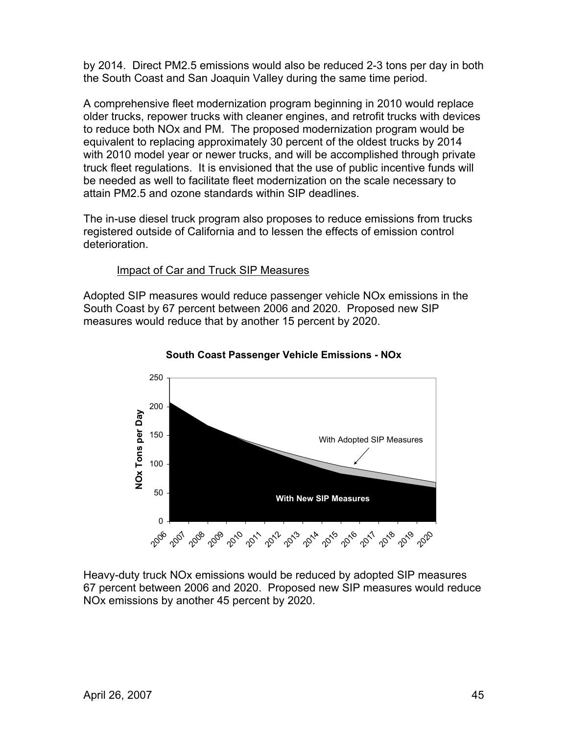by 2014. Direct PM2.5 emissions would also be reduced 2-3 tons per day in both the South Coast and San Joaquin Valley during the same time period.

A comprehensive fleet modernization program beginning in 2010 would replace older trucks, repower trucks with cleaner engines, and retrofit trucks with devices to reduce both NOx and PM. The proposed modernization program would be equivalent to replacing approximately 30 percent of the oldest trucks by 2014 with 2010 model year or newer trucks, and will be accomplished through private truck fleet regulations. It is envisioned that the use of public incentive funds will be needed as well to facilitate fleet modernization on the scale necessary to attain PM2.5 and ozone standards within SIP deadlines.

The in-use diesel truck program also proposes to reduce emissions from trucks registered outside of California and to lessen the effects of emission control deterioration.

### Impact of Car and Truck SIP Measures

Adopted SIP measures would reduce passenger vehicle NOx emissions in the South Coast by 67 percent between 2006 and 2020. Proposed new SIP measures would reduce that by another 15 percent by 2020.



#### **South Coast Passenger Vehicle Emissions - NOx**

Heavy-duty truck NOx emissions would be reduced by adopted SIP measures 67 percent between 2006 and 2020. Proposed new SIP measures would reduce NOx emissions by another 45 percent by 2020.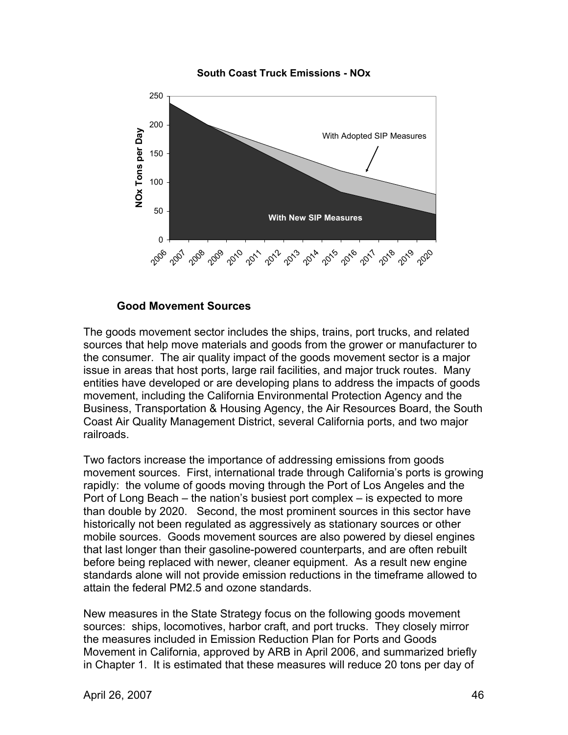

#### **South Coast Truck Emissions - NOx**

#### **Good Movement Sources**

The goods movement sector includes the ships, trains, port trucks, and related sources that help move materials and goods from the grower or manufacturer to the consumer. The air quality impact of the goods movement sector is a major issue in areas that host ports, large rail facilities, and major truck routes. Many entities have developed or are developing plans to address the impacts of goods movement, including the California Environmental Protection Agency and the Business, Transportation & Housing Agency, the Air Resources Board, the South Coast Air Quality Management District, several California ports, and two major railroads.

Two factors increase the importance of addressing emissions from goods movement sources. First, international trade through California's ports is growing rapidly: the volume of goods moving through the Port of Los Angeles and the Port of Long Beach – the nation's busiest port complex – is expected to more than double by 2020. Second, the most prominent sources in this sector have historically not been regulated as aggressively as stationary sources or other mobile sources. Goods movement sources are also powered by diesel engines that last longer than their gasoline-powered counterparts, and are often rebuilt before being replaced with newer, cleaner equipment. As a result new engine standards alone will not provide emission reductions in the timeframe allowed to attain the federal PM2.5 and ozone standards.

New measures in the State Strategy focus on the following goods movement sources: ships, locomotives, harbor craft, and port trucks. They closely mirror the measures included in Emission Reduction Plan for Ports and Goods Movement in California, approved by ARB in April 2006, and summarized briefly in Chapter 1. It is estimated that these measures will reduce 20 tons per day of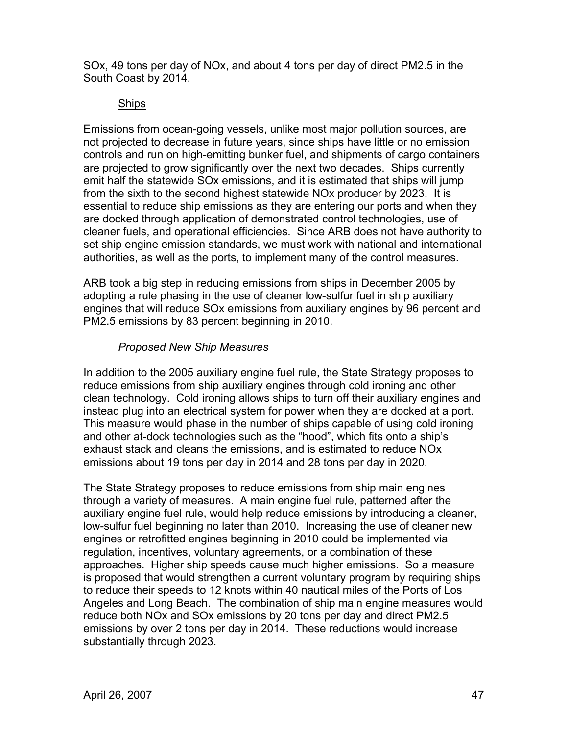SOx, 49 tons per day of NOx, and about 4 tons per day of direct PM2.5 in the South Coast by 2014.

### Ships

Emissions from ocean-going vessels, unlike most major pollution sources, are not projected to decrease in future years, since ships have little or no emission controls and run on high-emitting bunker fuel, and shipments of cargo containers are projected to grow significantly over the next two decades. Ships currently emit half the statewide SOx emissions, and it is estimated that ships will jump from the sixth to the second highest statewide NOx producer by 2023. It is essential to reduce ship emissions as they are entering our ports and when they are docked through application of demonstrated control technologies, use of cleaner fuels, and operational efficiencies. Since ARB does not have authority to set ship engine emission standards, we must work with national and international authorities, as well as the ports, to implement many of the control measures.

ARB took a big step in reducing emissions from ships in December 2005 by adopting a rule phasing in the use of cleaner low-sulfur fuel in ship auxiliary engines that will reduce SOx emissions from auxiliary engines by 96 percent and PM2.5 emissions by 83 percent beginning in 2010.

### *Proposed New Ship Measures*

In addition to the 2005 auxiliary engine fuel rule, the State Strategy proposes to reduce emissions from ship auxiliary engines through cold ironing and other clean technology. Cold ironing allows ships to turn off their auxiliary engines and instead plug into an electrical system for power when they are docked at a port. This measure would phase in the number of ships capable of using cold ironing and other at-dock technologies such as the "hood", which fits onto a ship's exhaust stack and cleans the emissions, and is estimated to reduce NOx emissions about 19 tons per day in 2014 and 28 tons per day in 2020.

The State Strategy proposes to reduce emissions from ship main engines through a variety of measures. A main engine fuel rule, patterned after the auxiliary engine fuel rule, would help reduce emissions by introducing a cleaner, low-sulfur fuel beginning no later than 2010. Increasing the use of cleaner new engines or retrofitted engines beginning in 2010 could be implemented via regulation, incentives, voluntary agreements, or a combination of these approaches. Higher ship speeds cause much higher emissions. So a measure is proposed that would strengthen a current voluntary program by requiring ships to reduce their speeds to 12 knots within 40 nautical miles of the Ports of Los Angeles and Long Beach. The combination of ship main engine measures would reduce both NOx and SOx emissions by 20 tons per day and direct PM2.5 emissions by over 2 tons per day in 2014. These reductions would increase substantially through 2023.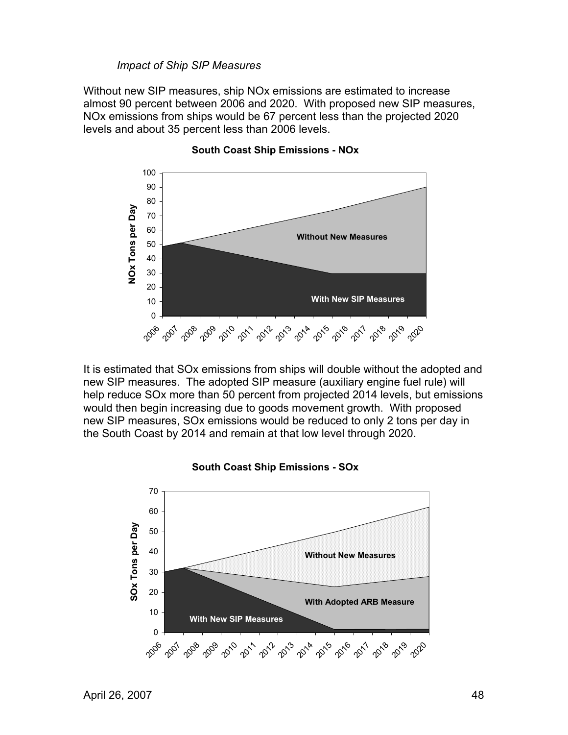#### *Impact of Ship SIP Measures*

Without new SIP measures, ship NOx emissions are estimated to increase almost 90 percent between 2006 and 2020. With proposed new SIP measures, NOx emissions from ships would be 67 percent less than the projected 2020 levels and about 35 percent less than 2006 levels.



**South Coast Ship Emissions - NOx**

It is estimated that SOx emissions from ships will double without the adopted and new SIP measures. The adopted SIP measure (auxiliary engine fuel rule) will help reduce SOx more than 50 percent from projected 2014 levels, but emissions would then begin increasing due to goods movement growth. With proposed new SIP measures, SOx emissions would be reduced to only 2 tons per day in the South Coast by 2014 and remain at that low level through 2020.



**South Coast Ship Emissions - SOx**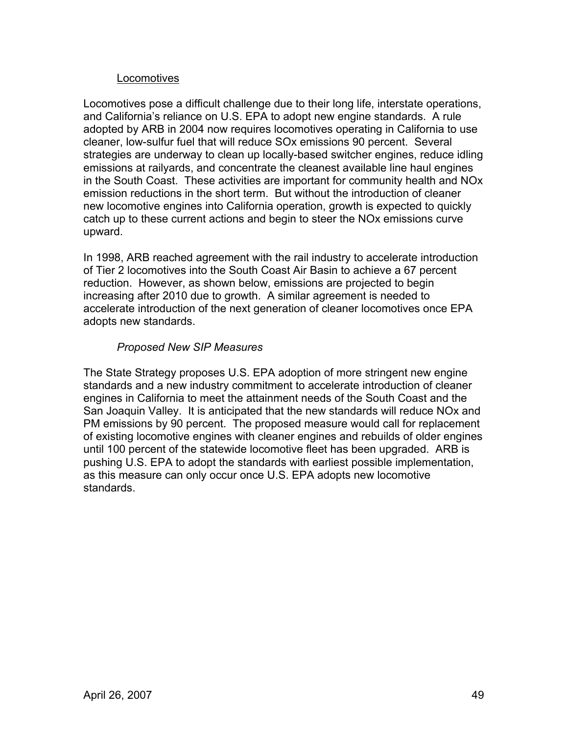### **Locomotives**

Locomotives pose a difficult challenge due to their long life, interstate operations, and California's reliance on U.S. EPA to adopt new engine standards. A rule adopted by ARB in 2004 now requires locomotives operating in California to use cleaner, low-sulfur fuel that will reduce SOx emissions 90 percent. Several strategies are underway to clean up locally-based switcher engines, reduce idling emissions at railyards, and concentrate the cleanest available line haul engines in the South Coast. These activities are important for community health and NOx emission reductions in the short term. But without the introduction of cleaner new locomotive engines into California operation, growth is expected to quickly catch up to these current actions and begin to steer the NOx emissions curve upward.

In 1998, ARB reached agreement with the rail industry to accelerate introduction of Tier 2 locomotives into the South Coast Air Basin to achieve a 67 percent reduction. However, as shown below, emissions are projected to begin increasing after 2010 due to growth. A similar agreement is needed to accelerate introduction of the next generation of cleaner locomotives once EPA adopts new standards.

### *Proposed New SIP Measures*

The State Strategy proposes U.S. EPA adoption of more stringent new engine standards and a new industry commitment to accelerate introduction of cleaner engines in California to meet the attainment needs of the South Coast and the San Joaquin Valley. It is anticipated that the new standards will reduce NOx and PM emissions by 90 percent. The proposed measure would call for replacement of existing locomotive engines with cleaner engines and rebuilds of older engines until 100 percent of the statewide locomotive fleet has been upgraded. ARB is pushing U.S. EPA to adopt the standards with earliest possible implementation, as this measure can only occur once U.S. EPA adopts new locomotive standards.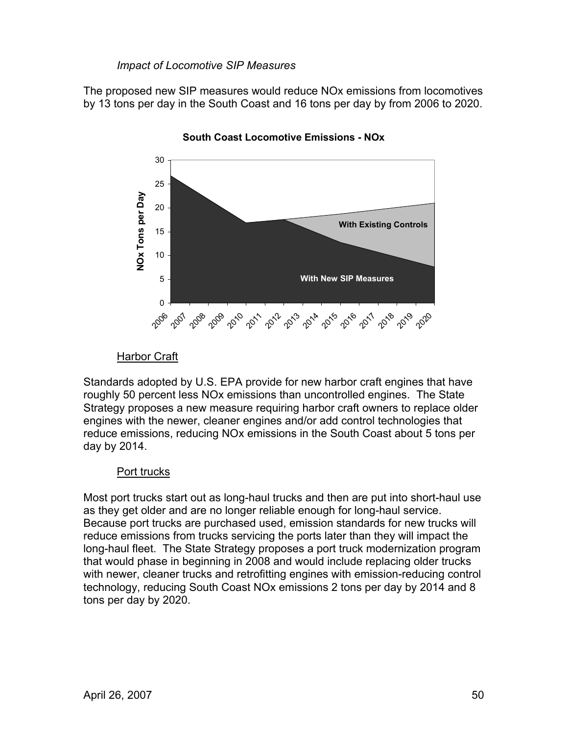### *Impact of Locomotive SIP Measures*

The proposed new SIP measures would reduce NOx emissions from locomotives by 13 tons per day in the South Coast and 16 tons per day by from 2006 to 2020.



**South Coast Locomotive Emissions - NOx**

#### **Harbor Craft**

Standards adopted by U.S. EPA provide for new harbor craft engines that have roughly 50 percent less NOx emissions than uncontrolled engines. The State Strategy proposes a new measure requiring harbor craft owners to replace older engines with the newer, cleaner engines and/or add control technologies that reduce emissions, reducing NOx emissions in the South Coast about 5 tons per day by 2014.

#### Port trucks

Most port trucks start out as long-haul trucks and then are put into short-haul use as they get older and are no longer reliable enough for long-haul service. Because port trucks are purchased used, emission standards for new trucks will reduce emissions from trucks servicing the ports later than they will impact the long-haul fleet. The State Strategy proposes a port truck modernization program that would phase in beginning in 2008 and would include replacing older trucks with newer, cleaner trucks and retrofitting engines with emission-reducing control technology, reducing South Coast NOx emissions 2 tons per day by 2014 and 8 tons per day by 2020.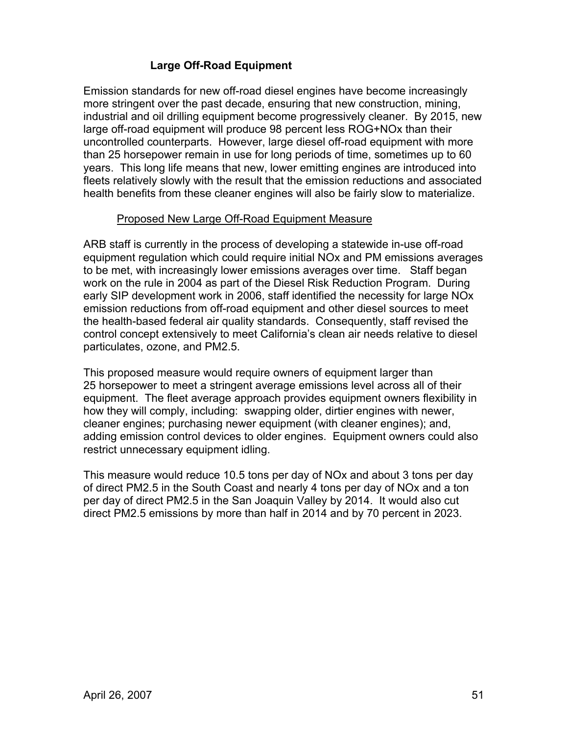### **Large Off-Road Equipment**

Emission standards for new off-road diesel engines have become increasingly more stringent over the past decade, ensuring that new construction, mining, industrial and oil drilling equipment become progressively cleaner. By 2015, new large off-road equipment will produce 98 percent less ROG+NOx than their uncontrolled counterparts. However, large diesel off-road equipment with more than 25 horsepower remain in use for long periods of time, sometimes up to 60 years. This long life means that new, lower emitting engines are introduced into fleets relatively slowly with the result that the emission reductions and associated health benefits from these cleaner engines will also be fairly slow to materialize.

#### Proposed New Large Off-Road Equipment Measure

ARB staff is currently in the process of developing a statewide in-use off-road equipment regulation which could require initial NOx and PM emissions averages to be met, with increasingly lower emissions averages over time. Staff began work on the rule in 2004 as part of the Diesel Risk Reduction Program. During early SIP development work in 2006, staff identified the necessity for large NOx emission reductions from off-road equipment and other diesel sources to meet the health-based federal air quality standards. Consequently, staff revised the control concept extensively to meet California's clean air needs relative to diesel particulates, ozone, and PM2.5.

This proposed measure would require owners of equipment larger than 25 horsepower to meet a stringent average emissions level across all of their equipment. The fleet average approach provides equipment owners flexibility in how they will comply, including: swapping older, dirtier engines with newer, cleaner engines; purchasing newer equipment (with cleaner engines); and, adding emission control devices to older engines. Equipment owners could also restrict unnecessary equipment idling.

This measure would reduce 10.5 tons per day of NOx and about 3 tons per day of direct PM2.5 in the South Coast and nearly 4 tons per day of NOx and a ton per day of direct PM2.5 in the San Joaquin Valley by 2014. It would also cut direct PM2.5 emissions by more than half in 2014 and by 70 percent in 2023.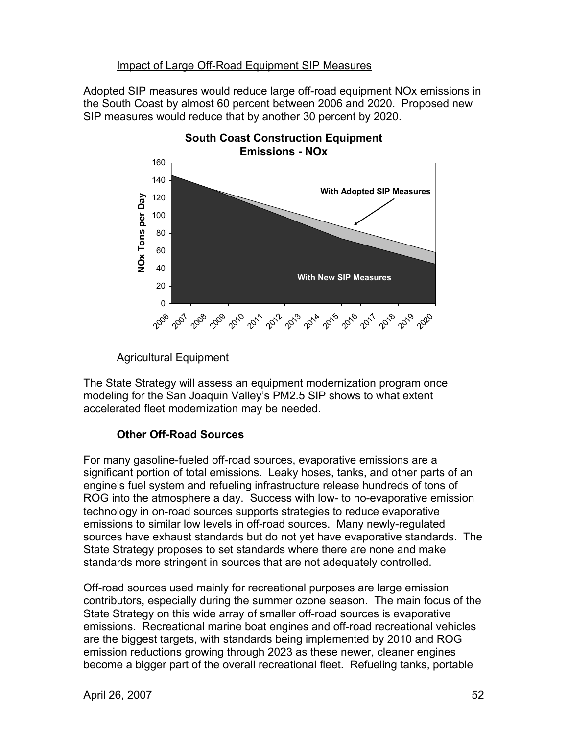### Impact of Large Off-Road Equipment SIP Measures

Adopted SIP measures would reduce large off-road equipment NOx emissions in the South Coast by almost 60 percent between 2006 and 2020. Proposed new SIP measures would reduce that by another 30 percent by 2020.



### Agricultural Equipment

The State Strategy will assess an equipment modernization program once modeling for the San Joaquin Valley's PM2.5 SIP shows to what extent accelerated fleet modernization may be needed.

#### **Other Off-Road Sources**

For many gasoline-fueled off-road sources, evaporative emissions are a significant portion of total emissions. Leaky hoses, tanks, and other parts of an engine's fuel system and refueling infrastructure release hundreds of tons of ROG into the atmosphere a day. Success with low- to no-evaporative emission technology in on-road sources supports strategies to reduce evaporative emissions to similar low levels in off-road sources. Many newly-regulated sources have exhaust standards but do not yet have evaporative standards. The State Strategy proposes to set standards where there are none and make standards more stringent in sources that are not adequately controlled.

Off-road sources used mainly for recreational purposes are large emission contributors, especially during the summer ozone season. The main focus of the State Strategy on this wide array of smaller off-road sources is evaporative emissions. Recreational marine boat engines and off-road recreational vehicles are the biggest targets, with standards being implemented by 2010 and ROG emission reductions growing through 2023 as these newer, cleaner engines become a bigger part of the overall recreational fleet. Refueling tanks, portable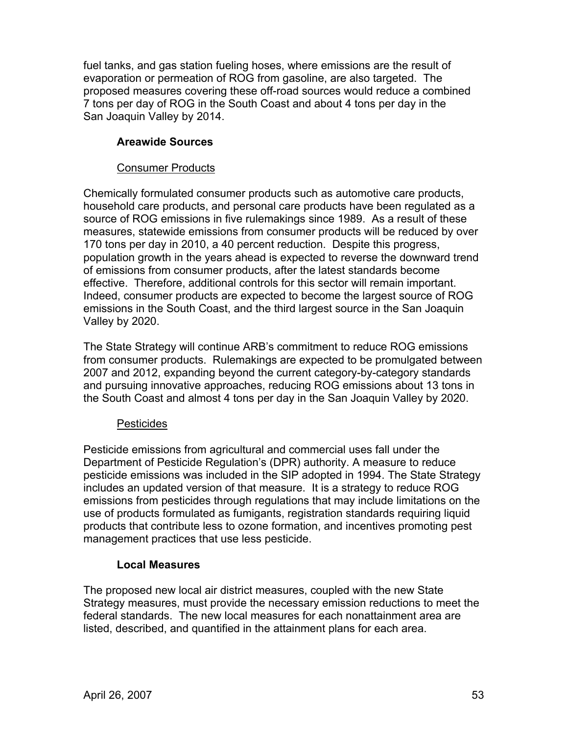fuel tanks, and gas station fueling hoses, where emissions are the result of evaporation or permeation of ROG from gasoline, are also targeted. The proposed measures covering these off-road sources would reduce a combined 7 tons per day of ROG in the South Coast and about 4 tons per day in the San Joaquin Valley by 2014.

### **Areawide Sources**

#### Consumer Products

Chemically formulated consumer products such as automotive care products, household care products, and personal care products have been regulated as a source of ROG emissions in five rulemakings since 1989. As a result of these measures, statewide emissions from consumer products will be reduced by over 170 tons per day in 2010, a 40 percent reduction. Despite this progress, population growth in the years ahead is expected to reverse the downward trend of emissions from consumer products, after the latest standards become effective. Therefore, additional controls for this sector will remain important. Indeed, consumer products are expected to become the largest source of ROG emissions in the South Coast, and the third largest source in the San Joaquin Valley by 2020.

The State Strategy will continue ARB's commitment to reduce ROG emissions from consumer products. Rulemakings are expected to be promulgated between 2007 and 2012, expanding beyond the current category-by-category standards and pursuing innovative approaches, reducing ROG emissions about 13 tons in the South Coast and almost 4 tons per day in the San Joaquin Valley by 2020.

#### Pesticides

Pesticide emissions from agricultural and commercial uses fall under the Department of Pesticide Regulation's (DPR) authority. A measure to reduce pesticide emissions was included in the SIP adopted in 1994. The State Strategy includes an updated version of that measure. It is a strategy to reduce ROG emissions from pesticides through regulations that may include limitations on the use of products formulated as fumigants, registration standards requiring liquid products that contribute less to ozone formation, and incentives promoting pest management practices that use less pesticide.

#### **Local Measures**

The proposed new local air district measures, coupled with the new State Strategy measures, must provide the necessary emission reductions to meet the federal standards. The new local measures for each nonattainment area are listed, described, and quantified in the attainment plans for each area.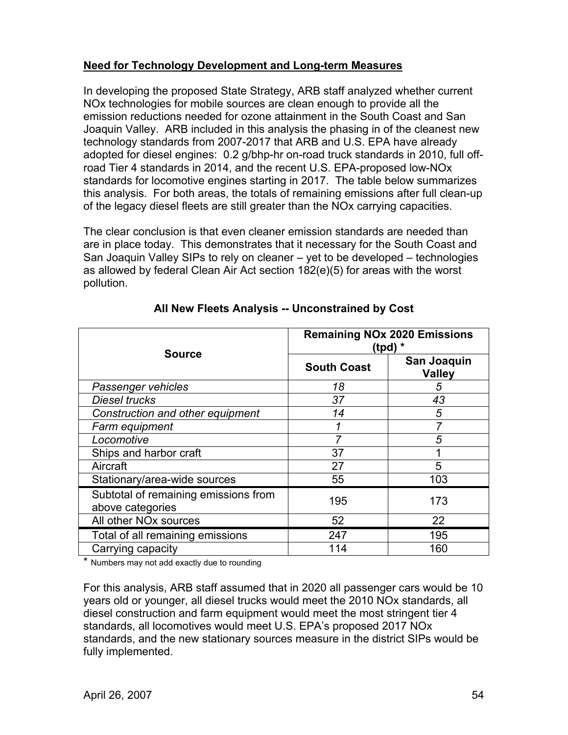### **Need for Technology Development and Long-term Measures**

In developing the proposed State Strategy, ARB staff analyzed whether current NOx technologies for mobile sources are clean enough to provide all the emission reductions needed for ozone attainment in the South Coast and San Joaquin Valley. ARB included in this analysis the phasing in of the cleanest new technology standards from 2007-2017 that ARB and U.S. EPA have already adopted for diesel engines: 0.2 g/bhp-hr on-road truck standards in 2010, full offroad Tier 4 standards in 2014, and the recent U.S. EPA-proposed low-NOx standards for locomotive engines starting in 2017. The table below summarizes this analysis. For both areas, the totals of remaining emissions after full clean-up of the legacy diesel fleets are still greater than the NOx carrying capacities.

The clear conclusion is that even cleaner emission standards are needed than are in place today. This demonstrates that it necessary for the South Coast and San Joaquin Valley SIPs to rely on cleaner – yet to be developed – technologies as allowed by federal Clean Air Act section 182(e)(5) for areas with the worst pollution.

| <b>Source</b>                                            | <b>Remaining NOx 2020 Emissions</b><br>(tpd) $*$ |                              |  |  |
|----------------------------------------------------------|--------------------------------------------------|------------------------------|--|--|
|                                                          | <b>South Coast</b>                               | San Joaquin<br><b>Valley</b> |  |  |
| Passenger vehicles                                       | 18                                               | 5                            |  |  |
| <b>Diesel trucks</b>                                     | 37                                               | 43                           |  |  |
| Construction and other equipment                         | 14                                               | 5                            |  |  |
| Farm equipment                                           |                                                  | 7                            |  |  |
| Locomotive                                               |                                                  | 5                            |  |  |
| Ships and harbor craft                                   | 37                                               |                              |  |  |
| Aircraft                                                 | 27                                               | 5                            |  |  |
| Stationary/area-wide sources                             | 55                                               | 103                          |  |  |
| Subtotal of remaining emissions from<br>above categories | 195                                              | 173                          |  |  |
| All other NO <sub>x</sub> sources                        | 52                                               | 22                           |  |  |
| Total of all remaining emissions                         | 247                                              | 195                          |  |  |
| Carrying capacity                                        | 114                                              | 160                          |  |  |

### **All New Fleets Analysis -- Unconstrained by Cost**

\* Numbers may not add exactly due to rounding

For this analysis, ARB staff assumed that in 2020 all passenger cars would be 10 years old or younger, all diesel trucks would meet the 2010 NOx standards, all diesel construction and farm equipment would meet the most stringent tier 4 standards, all locomotives would meet U.S. EPA's proposed 2017 NOx standards, and the new stationary sources measure in the district SIPs would be fully implemented.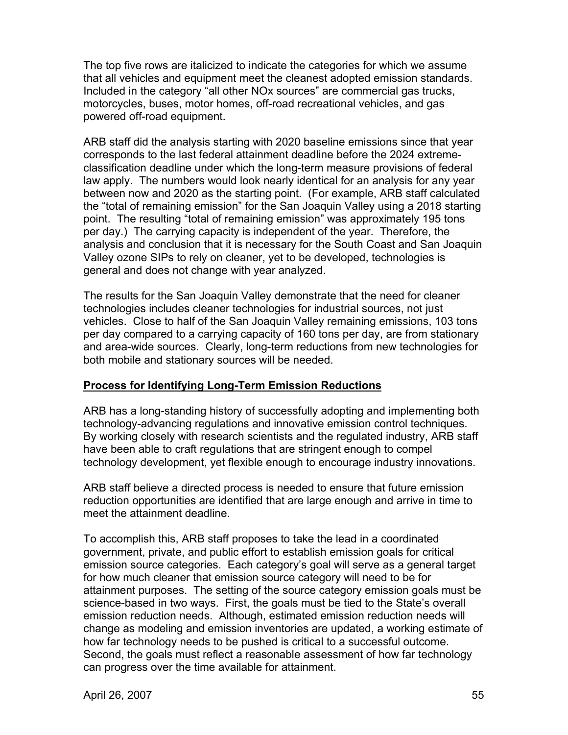The top five rows are italicized to indicate the categories for which we assume that all vehicles and equipment meet the cleanest adopted emission standards. Included in the category "all other NOx sources" are commercial gas trucks, motorcycles, buses, motor homes, off-road recreational vehicles, and gas powered off-road equipment.

ARB staff did the analysis starting with 2020 baseline emissions since that year corresponds to the last federal attainment deadline before the 2024 extremeclassification deadline under which the long-term measure provisions of federal law apply. The numbers would look nearly identical for an analysis for any year between now and 2020 as the starting point. (For example, ARB staff calculated the "total of remaining emission" for the San Joaquin Valley using a 2018 starting point. The resulting "total of remaining emission" was approximately 195 tons per day.) The carrying capacity is independent of the year. Therefore, the analysis and conclusion that it is necessary for the South Coast and San Joaquin Valley ozone SIPs to rely on cleaner, yet to be developed, technologies is general and does not change with year analyzed.

The results for the San Joaquin Valley demonstrate that the need for cleaner technologies includes cleaner technologies for industrial sources, not just vehicles. Close to half of the San Joaquin Valley remaining emissions, 103 tons per day compared to a carrying capacity of 160 tons per day, are from stationary and area-wide sources. Clearly, long-term reductions from new technologies for both mobile and stationary sources will be needed.

#### **Process for Identifying Long-Term Emission Reductions**

ARB has a long-standing history of successfully adopting and implementing both technology-advancing regulations and innovative emission control techniques. By working closely with research scientists and the regulated industry, ARB staff have been able to craft regulations that are stringent enough to compel technology development, yet flexible enough to encourage industry innovations.

ARB staff believe a directed process is needed to ensure that future emission reduction opportunities are identified that are large enough and arrive in time to meet the attainment deadline.

To accomplish this, ARB staff proposes to take the lead in a coordinated government, private, and public effort to establish emission goals for critical emission source categories. Each category's goal will serve as a general target for how much cleaner that emission source category will need to be for attainment purposes. The setting of the source category emission goals must be science-based in two ways. First, the goals must be tied to the State's overall emission reduction needs. Although, estimated emission reduction needs will change as modeling and emission inventories are updated, a working estimate of how far technology needs to be pushed is critical to a successful outcome. Second, the goals must reflect a reasonable assessment of how far technology can progress over the time available for attainment.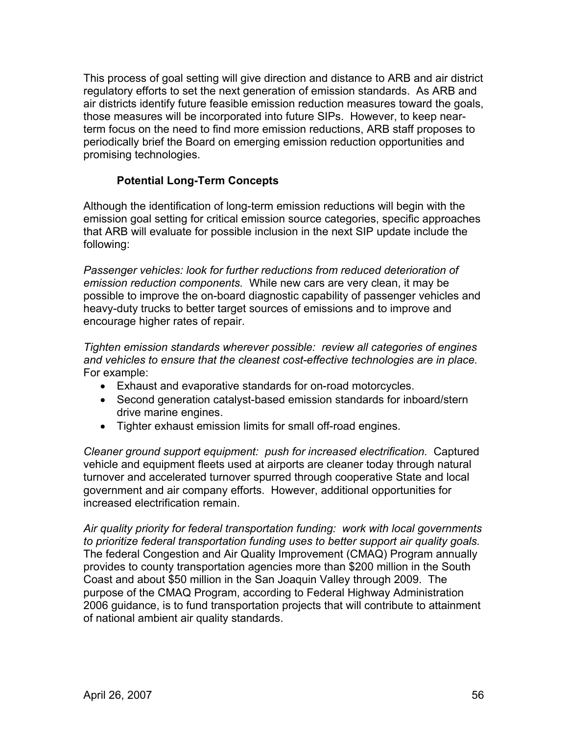This process of goal setting will give direction and distance to ARB and air district regulatory efforts to set the next generation of emission standards. As ARB and air districts identify future feasible emission reduction measures toward the goals, those measures will be incorporated into future SIPs. However, to keep nearterm focus on the need to find more emission reductions, ARB staff proposes to periodically brief the Board on emerging emission reduction opportunities and promising technologies.

### **Potential Long-Term Concepts**

Although the identification of long-term emission reductions will begin with the emission goal setting for critical emission source categories, specific approaches that ARB will evaluate for possible inclusion in the next SIP update include the following:

*Passenger vehicles: look for further reductions from reduced deterioration of emission reduction components.* While new cars are very clean, it may be possible to improve the on-board diagnostic capability of passenger vehicles and heavy-duty trucks to better target sources of emissions and to improve and encourage higher rates of repair.

*Tighten emission standards wherever possible: review all categories of engines and vehicles to ensure that the cleanest cost-effective technologies are in place.* For example:

- Exhaust and evaporative standards for on-road motorcycles.
- Second generation catalyst-based emission standards for inboard/stern drive marine engines.
- Tighter exhaust emission limits for small off-road engines.

*Cleaner ground support equipment: push for increased electrification.* Captured vehicle and equipment fleets used at airports are cleaner today through natural turnover and accelerated turnover spurred through cooperative State and local government and air company efforts. However, additional opportunities for increased electrification remain.

*Air quality priority for federal transportation funding: work with local governments to prioritize federal transportation funding uses to better support air quality goals.* The federal Congestion and Air Quality Improvement (CMAQ) Program annually provides to county transportation agencies more than \$200 million in the South Coast and about \$50 million in the San Joaquin Valley through 2009. The purpose of the CMAQ Program, according to Federal Highway Administration 2006 guidance, is to fund transportation projects that will contribute to attainment of national ambient air quality standards.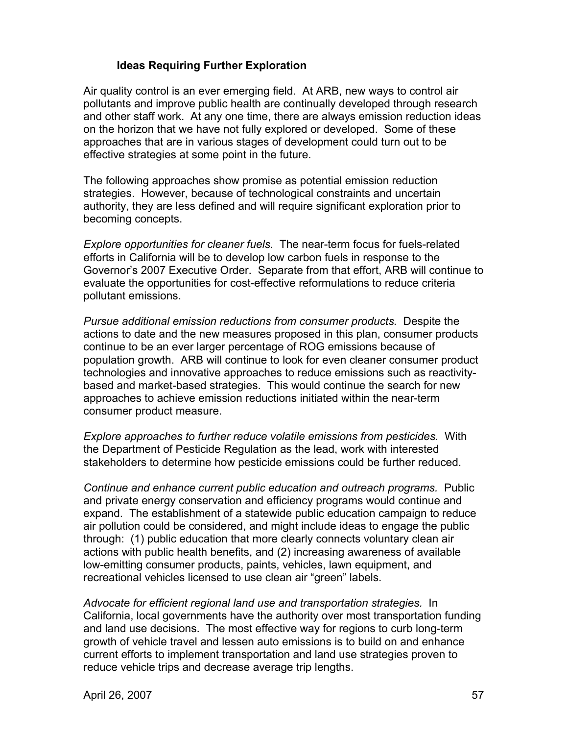### **Ideas Requiring Further Exploration**

Air quality control is an ever emerging field. At ARB, new ways to control air pollutants and improve public health are continually developed through research and other staff work. At any one time, there are always emission reduction ideas on the horizon that we have not fully explored or developed. Some of these approaches that are in various stages of development could turn out to be effective strategies at some point in the future.

The following approaches show promise as potential emission reduction strategies. However, because of technological constraints and uncertain authority, they are less defined and will require significant exploration prior to becoming concepts.

*Explore opportunities for cleaner fuels.* The near-term focus for fuels-related efforts in California will be to develop low carbon fuels in response to the Governor's 2007 Executive Order. Separate from that effort, ARB will continue to evaluate the opportunities for cost-effective reformulations to reduce criteria pollutant emissions.

*Pursue additional emission reductions from consumer products.* Despite the actions to date and the new measures proposed in this plan, consumer products continue to be an ever larger percentage of ROG emissions because of population growth. ARB will continue to look for even cleaner consumer product technologies and innovative approaches to reduce emissions such as reactivitybased and market-based strategies. This would continue the search for new approaches to achieve emission reductions initiated within the near-term consumer product measure.

*Explore approaches to further reduce volatile emissions from pesticides.* With the Department of Pesticide Regulation as the lead, work with interested stakeholders to determine how pesticide emissions could be further reduced.

*Continue and enhance current public education and outreach programs.* Public and private energy conservation and efficiency programs would continue and expand. The establishment of a statewide public education campaign to reduce air pollution could be considered, and might include ideas to engage the public through: (1) public education that more clearly connects voluntary clean air actions with public health benefits, and (2) increasing awareness of available low-emitting consumer products, paints, vehicles, lawn equipment, and recreational vehicles licensed to use clean air "green" labels.

*Advocate for efficient regional land use and transportation strategies.* In California, local governments have the authority over most transportation funding and land use decisions. The most effective way for regions to curb long-term growth of vehicle travel and lessen auto emissions is to build on and enhance current efforts to implement transportation and land use strategies proven to reduce vehicle trips and decrease average trip lengths.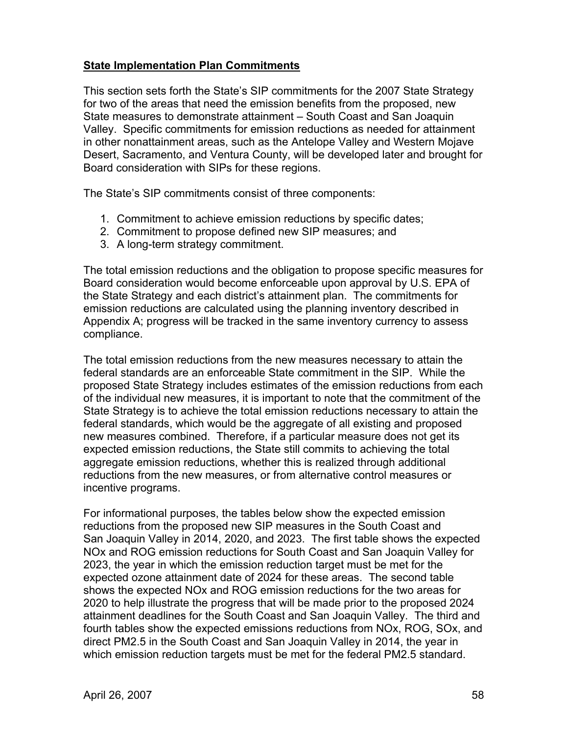### **State Implementation Plan Commitments**

This section sets forth the State's SIP commitments for the 2007 State Strategy for two of the areas that need the emission benefits from the proposed, new State measures to demonstrate attainment – South Coast and San Joaquin Valley. Specific commitments for emission reductions as needed for attainment in other nonattainment areas, such as the Antelope Valley and Western Mojave Desert, Sacramento, and Ventura County, will be developed later and brought for Board consideration with SIPs for these regions.

The State's SIP commitments consist of three components:

- 1. Commitment to achieve emission reductions by specific dates;
- 2. Commitment to propose defined new SIP measures; and
- 3. A long-term strategy commitment.

The total emission reductions and the obligation to propose specific measures for Board consideration would become enforceable upon approval by U.S. EPA of the State Strategy and each district's attainment plan. The commitments for emission reductions are calculated using the planning inventory described in Appendix A; progress will be tracked in the same inventory currency to assess compliance.

The total emission reductions from the new measures necessary to attain the federal standards are an enforceable State commitment in the SIP. While the proposed State Strategy includes estimates of the emission reductions from each of the individual new measures, it is important to note that the commitment of the State Strategy is to achieve the total emission reductions necessary to attain the federal standards, which would be the aggregate of all existing and proposed new measures combined. Therefore, if a particular measure does not get its expected emission reductions, the State still commits to achieving the total aggregate emission reductions, whether this is realized through additional reductions from the new measures, or from alternative control measures or incentive programs.

For informational purposes, the tables below show the expected emission reductions from the proposed new SIP measures in the South Coast and San Joaquin Valley in 2014, 2020, and 2023. The first table shows the expected NOx and ROG emission reductions for South Coast and San Joaquin Valley for 2023, the year in which the emission reduction target must be met for the expected ozone attainment date of 2024 for these areas. The second table shows the expected NOx and ROG emission reductions for the two areas for 2020 to help illustrate the progress that will be made prior to the proposed 2024 attainment deadlines for the South Coast and San Joaquin Valley. The third and fourth tables show the expected emissions reductions from NOx, ROG, SOx, and direct PM2.5 in the South Coast and San Joaquin Valley in 2014, the year in which emission reduction targets must be met for the federal PM2.5 standard.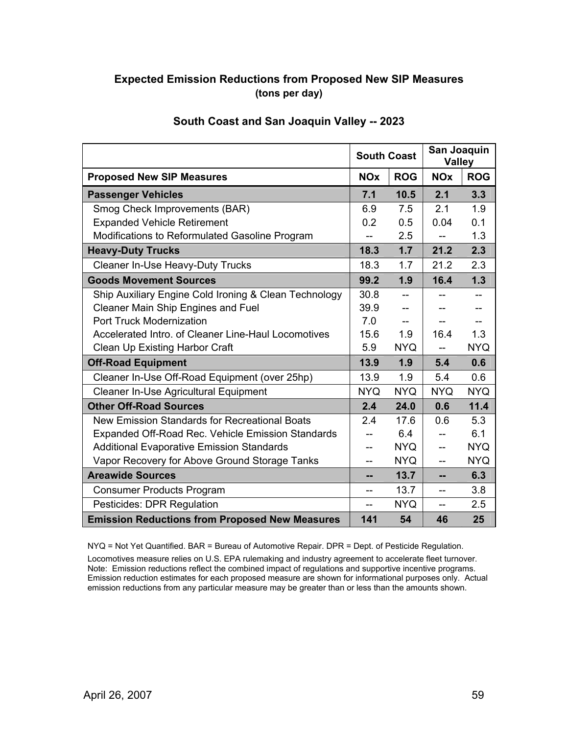|                                                       | <b>South Coast</b> |            | San Joaquin<br><b>Valley</b> |            |
|-------------------------------------------------------|--------------------|------------|------------------------------|------------|
| <b>Proposed New SIP Measures</b>                      | <b>NOx</b>         | <b>ROG</b> | <b>NOx</b>                   | <b>ROG</b> |
| <b>Passenger Vehicles</b>                             | 7.1                | 10.5       | 2.1                          | 3.3        |
| Smog Check Improvements (BAR)                         | 6.9                | 7.5        | 2.1                          | 1.9        |
| <b>Expanded Vehicle Retirement</b>                    | 0.2                | 0.5        | 0.04                         | 0.1        |
| Modifications to Reformulated Gasoline Program        | $-$                | 2.5        |                              | 1.3        |
| <b>Heavy-Duty Trucks</b>                              | 18.3               | 1.7        | 21.2                         | 2.3        |
| <b>Cleaner In-Use Heavy-Duty Trucks</b>               | 18.3               | 1.7        | 21.2                         | 2.3        |
| <b>Goods Movement Sources</b>                         | 99.2               | 1.9        | 16.4                         | 1.3        |
| Ship Auxiliary Engine Cold Ironing & Clean Technology | 30.8               | $-$        | $-$                          | --         |
| <b>Cleaner Main Ship Engines and Fuel</b>             | 39.9               | --         |                              |            |
| <b>Port Truck Modernization</b>                       | 7.0                | --         |                              |            |
| Accelerated Intro. of Cleaner Line-Haul Locomotives   | 15.6               | 1.9        | 16.4                         | 1.3        |
| Clean Up Existing Harbor Craft                        | 5.9                | <b>NYQ</b> |                              | <b>NYQ</b> |
| <b>Off-Road Equipment</b>                             | 13.9               | 1.9        | 5.4                          | 0.6        |
| Cleaner In-Use Off-Road Equipment (over 25hp)         | 13.9               | 1.9        | 5.4                          | 0.6        |
| Cleaner In-Use Agricultural Equipment                 | <b>NYQ</b>         | <b>NYQ</b> | <b>NYQ</b>                   | <b>NYQ</b> |
| <b>Other Off-Road Sources</b>                         | 2.4                | 24.0       | 0.6                          | 11.4       |
| New Emission Standards for Recreational Boats         | 2.4                | 17.6       | 0.6                          | 5.3        |
| Expanded Off-Road Rec. Vehicle Emission Standards     |                    | 6.4        |                              | 6.1        |
| <b>Additional Evaporative Emission Standards</b>      |                    | <b>NYQ</b> | --                           | <b>NYQ</b> |
| Vapor Recovery for Above Ground Storage Tanks         | --                 | <b>NYQ</b> | --                           | <b>NYQ</b> |
| <b>Areawide Sources</b>                               | --                 | 13.7       | --                           | 6.3        |
| <b>Consumer Products Program</b>                      | $-$                | 13.7       | $-$                          | 3.8        |
| Pesticides: DPR Regulation                            | --                 | <b>NYQ</b> | --                           | 2.5        |
| <b>Emission Reductions from Proposed New Measures</b> | 141                | 54         | 46                           | 25         |

#### **South Coast and San Joaquin Valley -- 2023**

NYQ = Not Yet Quantified. BAR = Bureau of Automotive Repair. DPR = Dept. of Pesticide Regulation.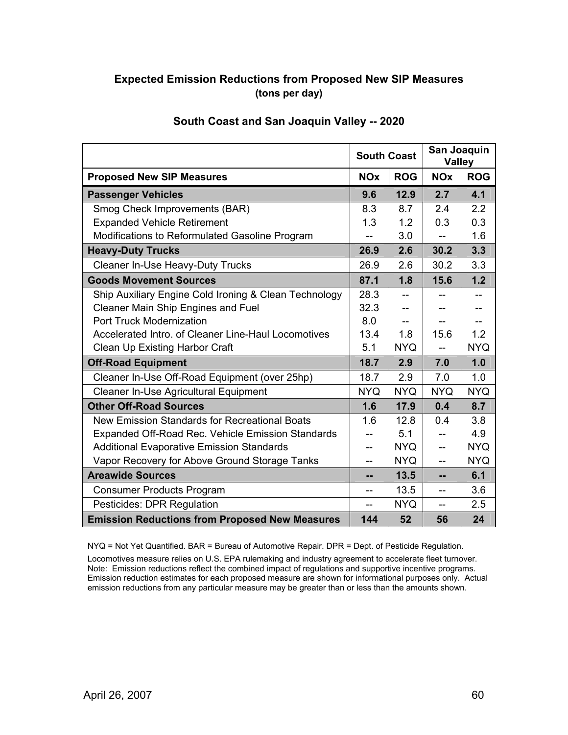|                                                       | <b>South Coast</b> |            | San Joaquin<br><b>Valley</b> |            |
|-------------------------------------------------------|--------------------|------------|------------------------------|------------|
| <b>Proposed New SIP Measures</b>                      | <b>NOx</b>         | <b>ROG</b> | <b>NOx</b>                   | <b>ROG</b> |
| <b>Passenger Vehicles</b>                             | 9.6                | 12.9       | 2.7                          | 4.1        |
| Smog Check Improvements (BAR)                         | 8.3                | 8.7        | 2.4                          | 2.2        |
| <b>Expanded Vehicle Retirement</b>                    | 1.3                | 1.2        | 0.3                          | 0.3        |
| Modifications to Reformulated Gasoline Program        | --                 | 3.0        |                              | 1.6        |
| <b>Heavy-Duty Trucks</b>                              | 26.9               | 2.6        | 30.2                         | 3.3        |
| <b>Cleaner In-Use Heavy-Duty Trucks</b>               | 26.9               | 2.6        | 30.2                         | 3.3        |
| <b>Goods Movement Sources</b>                         | 87.1               | 1.8        | 15.6                         | 1.2        |
| Ship Auxiliary Engine Cold Ironing & Clean Technology | 28.3               | $-$        | $-$                          | --         |
| <b>Cleaner Main Ship Engines and Fuel</b>             | 32.3               | --         |                              |            |
| <b>Port Truck Modernization</b>                       | 8.0                | --         |                              |            |
| Accelerated Intro. of Cleaner Line-Haul Locomotives   | 13.4               | 1.8        | 15.6                         | 1.2        |
| Clean Up Existing Harbor Craft                        | 5.1                | <b>NYQ</b> |                              | <b>NYQ</b> |
| <b>Off-Road Equipment</b>                             | 18.7               | 2.9        | 7.0                          | 1.0        |
| Cleaner In-Use Off-Road Equipment (over 25hp)         | 18.7               | 2.9        | 7.0                          | 1.0        |
| Cleaner In-Use Agricultural Equipment                 | <b>NYQ</b>         | <b>NYQ</b> | <b>NYQ</b>                   | <b>NYQ</b> |
| <b>Other Off-Road Sources</b>                         | 1.6                | 17.9       | 0.4                          | 8.7        |
| New Emission Standards for Recreational Boats         | 1.6                | 12.8       | 0.4                          | 3.8        |
| Expanded Off-Road Rec. Vehicle Emission Standards     |                    | 5.1        | --                           | 4.9        |
| <b>Additional Evaporative Emission Standards</b>      |                    | <b>NYQ</b> | --                           | <b>NYQ</b> |
| Vapor Recovery for Above Ground Storage Tanks         | --                 | <b>NYQ</b> | --                           | <b>NYQ</b> |
| <b>Areawide Sources</b>                               | --                 | 13.5       | --                           | 6.1        |
| <b>Consumer Products Program</b>                      | $-$                | 13.5       | $-$                          | 3.6        |
| Pesticides: DPR Regulation                            | --                 | <b>NYQ</b> | --                           | 2.5        |
| <b>Emission Reductions from Proposed New Measures</b> | 144                | 52         | 56                           | 24         |

#### **South Coast and San Joaquin Valley -- 2020**

NYQ = Not Yet Quantified. BAR = Bureau of Automotive Repair. DPR = Dept. of Pesticide Regulation.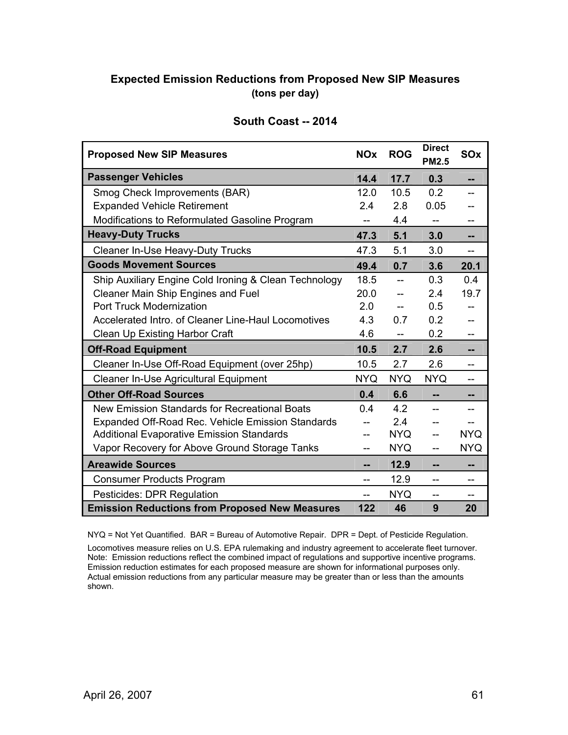| <b>Proposed New SIP Measures</b>                         | <b>NOx</b> | <b>ROG</b>               | <b>Direct</b><br><b>PM2.5</b> | <b>SOx</b> |
|----------------------------------------------------------|------------|--------------------------|-------------------------------|------------|
| <b>Passenger Vehicles</b>                                | 14.4       | 17.7                     | 0.3                           |            |
| Smog Check Improvements (BAR)                            | 12.0       | 10.5                     | 0.2                           | --         |
| <b>Expanded Vehicle Retirement</b>                       | 2.4        | 2.8                      | 0.05                          |            |
| Modifications to Reformulated Gasoline Program           |            | 4.4                      |                               |            |
| <b>Heavy-Duty Trucks</b>                                 | 47.3       | 5.1                      | 3.0                           |            |
| <b>Cleaner In-Use Heavy-Duty Trucks</b>                  | 47.3       | 5.1                      | 3.0                           |            |
| <b>Goods Movement Sources</b>                            | 49.4       | 0.7                      | 3.6                           | 20.1       |
| Ship Auxiliary Engine Cold Ironing & Clean Technology    | 18.5       | $\overline{\phantom{a}}$ | 0.3                           | 0.4        |
| <b>Cleaner Main Ship Engines and Fuel</b>                | 20.0       | $-$                      | 2.4                           | 19.7       |
| <b>Port Truck Modernization</b>                          | 2.0        | --                       | 0.5                           |            |
| Accelerated Intro. of Cleaner Line-Haul Locomotives      | 4.3        | 0.7                      | 0.2                           |            |
| Clean Up Existing Harbor Craft                           | 4.6        | --                       | 0.2                           |            |
| <b>Off-Road Equipment</b>                                | 10.5       | 2.7                      | 2.6                           |            |
| Cleaner In-Use Off-Road Equipment (over 25hp)            | 10.5       | 2.7                      | 2.6                           |            |
| <b>Cleaner In-Use Agricultural Equipment</b>             | <b>NYQ</b> | <b>NYQ</b>               | <b>NYQ</b>                    |            |
| <b>Other Off-Road Sources</b>                            | 0.4        | 6.6                      |                               |            |
| New Emission Standards for Recreational Boats            | 0.4        | 4.2                      | $-$                           |            |
| <b>Expanded Off-Road Rec. Vehicle Emission Standards</b> | --         | 2.4                      | --                            |            |
| <b>Additional Evaporative Emission Standards</b>         | --         | NYQ                      | $-$                           | NYQ.       |
| Vapor Recovery for Above Ground Storage Tanks            | --         | <b>NYQ</b>               |                               | <b>NYQ</b> |
| <b>Areawide Sources</b>                                  | --         | 12.9                     |                               |            |
| <b>Consumer Products Program</b>                         | --         | 12.9                     |                               | --         |
| <b>Pesticides: DPR Regulation</b>                        | --         | <b>NYQ</b>               | --                            | --         |
| <b>Emission Reductions from Proposed New Measures</b>    | 122        | 46                       | 9                             | 20         |

#### **South Coast -- 2014**

NYQ = Not Yet Quantified. BAR = Bureau of Automotive Repair. DPR = Dept. of Pesticide Regulation.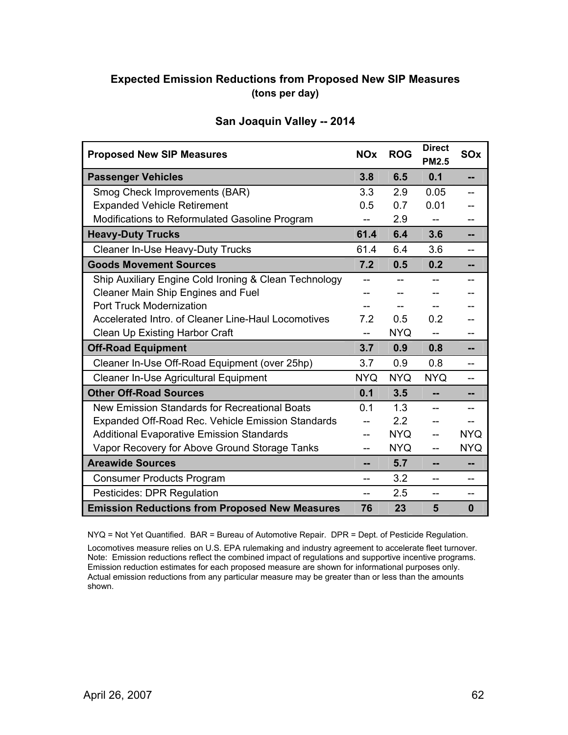| <b>Proposed New SIP Measures</b>                         |            | <b>ROG</b> | <b>Direct</b><br><b>PM2.5</b> | <b>SO<sub>x</sub></b> |
|----------------------------------------------------------|------------|------------|-------------------------------|-----------------------|
| <b>Passenger Vehicles</b>                                | 3.8        | 6.5        | 0.1                           | --                    |
| Smog Check Improvements (BAR)                            | 3.3        | 2.9        | 0.05                          | $-$                   |
| <b>Expanded Vehicle Retirement</b>                       | 0.5        | 0.7        | 0.01                          |                       |
| Modifications to Reformulated Gasoline Program           |            | 2.9        |                               |                       |
| <b>Heavy-Duty Trucks</b>                                 | 61.4       | 6.4        | 3.6                           |                       |
| <b>Cleaner In-Use Heavy-Duty Trucks</b>                  | 61.4       | 6.4        | 3.6                           |                       |
| <b>Goods Movement Sources</b>                            | 7.2        | 0.5        | 0.2                           |                       |
| Ship Auxiliary Engine Cold Ironing & Clean Technology    | --         |            | $-$                           | --                    |
| <b>Cleaner Main Ship Engines and Fuel</b>                |            |            |                               |                       |
| <b>Port Truck Modernization</b>                          |            |            |                               |                       |
| Accelerated Intro. of Cleaner Line-Haul Locomotives      | 7.2        | 0.5        | 0.2                           |                       |
| Clean Up Existing Harbor Craft                           | --         | <b>NYQ</b> |                               |                       |
| <b>Off-Road Equipment</b>                                | 3.7        | 0.9        | 0.8                           |                       |
| Cleaner In-Use Off-Road Equipment (over 25hp)            | 3.7        | 0.9        | 0.8                           | $-$                   |
| Cleaner In-Use Agricultural Equipment                    | <b>NYQ</b> | <b>NYQ</b> | <b>NYQ</b>                    | --                    |
| <b>Other Off-Road Sources</b>                            | 0.1        | 3.5        |                               |                       |
| New Emission Standards for Recreational Boats            | 0.1        | 1.3        | $-$                           |                       |
| <b>Expanded Off-Road Rec. Vehicle Emission Standards</b> |            | 2.2        | $-$                           | --                    |
| <b>Additional Evaporative Emission Standards</b>         | --         | <b>NYQ</b> |                               | <b>NYQ</b>            |
| Vapor Recovery for Above Ground Storage Tanks            | --         | <b>NYQ</b> |                               | <b>NYQ</b>            |
| <b>Areawide Sources</b>                                  | --         | 5.7        | --                            |                       |
| <b>Consumer Products Program</b>                         | --         | 3.2        | --                            |                       |
| Pesticides: DPR Regulation                               | --         | 2.5        | $-$                           |                       |
| <b>Emission Reductions from Proposed New Measures</b>    | 76         | 23         | 5                             | $\bf{0}$              |

#### **San Joaquin Valley -- 2014**

NYQ = Not Yet Quantified. BAR = Bureau of Automotive Repair. DPR = Dept. of Pesticide Regulation.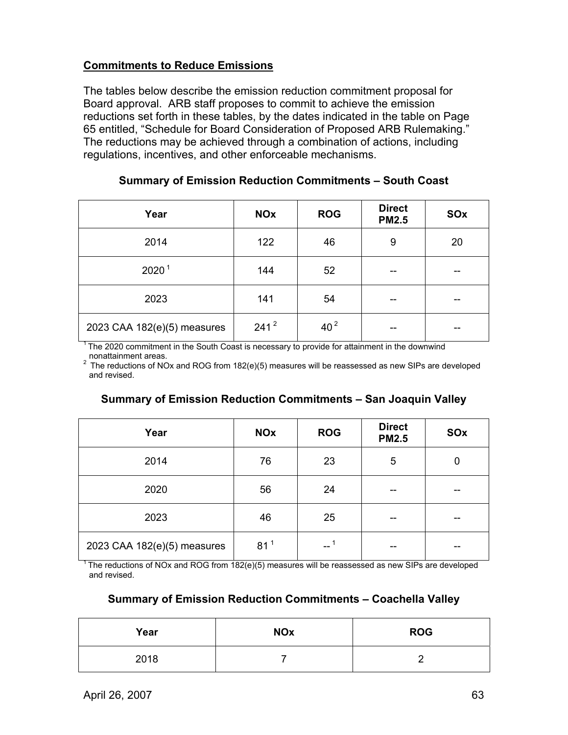### **Commitments to Reduce Emissions**

The tables below describe the emission reduction commitment proposal for Board approval. ARB staff proposes to commit to achieve the emission reductions set forth in these tables, by the dates indicated in the table on Page 65 entitled, "Schedule for Board Consideration of Proposed ARB Rulemaking." The reductions may be achieved through a combination of actions, including regulations, incentives, and other enforceable mechanisms.

| Year                        | <b>NOx</b>       | <b>ROG</b>      | <b>Direct</b><br><b>PM2.5</b> | SOx |
|-----------------------------|------------------|-----------------|-------------------------------|-----|
| 2014                        | 122              | 46              | 9                             | 20  |
| 2020 <sup>1</sup>           | 144              | 52              |                               |     |
| 2023                        | 141              | 54              |                               |     |
| 2023 CAA 182(e)(5) measures | 241 <sup>2</sup> | 40 <sup>2</sup> | --                            | --  |

#### **Summary of Emission Reduction Commitments – South Coast**

<sup>1</sup> The 2020 commitment in the South Coast is necessary to provide for attainment in the downwind<br>nonattainment areas.

nonattainment areas. 2 The reductions of NOx and ROG from 182(e)(5) measures will be reassessed as new SIPs are developed and revised.

#### **Summary of Emission Reduction Commitments – San Joaquin Valley**

| Year                        | <b>NOx</b>      | <b>ROG</b>     | <b>Direct</b><br><b>PM2.5</b> | SOx |
|-----------------------------|-----------------|----------------|-------------------------------|-----|
| 2014                        | 76              | 23             | 5                             | 0   |
| 2020                        | 56              | 24             | --                            |     |
| 2023                        | 46              | 25             | --                            |     |
| 2023 CAA 182(e)(5) measures | 81 <sup>1</sup> | $\overline{a}$ | --                            | --  |

1 The reductions of NOx and ROG from 182(e)(5) measures will be reassessed as new SIPs are developed and revised.

#### **Summary of Emission Reduction Commitments – Coachella Valley**

| Year | <b>NOx</b> | <b>ROG</b> |
|------|------------|------------|
| 2018 |            |            |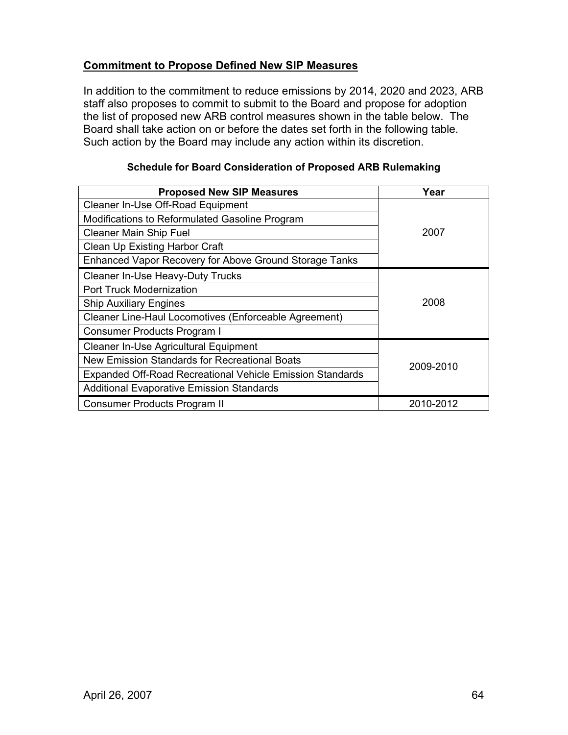### **Commitment to Propose Defined New SIP Measures**

In addition to the commitment to reduce emissions by 2014, 2020 and 2023, ARB staff also proposes to commit to submit to the Board and propose for adoption the list of proposed new ARB control measures shown in the table below. The Board shall take action on or before the dates set forth in the following table. Such action by the Board may include any action within its discretion.

| <b>Proposed New SIP Measures</b>                                 | Year      |
|------------------------------------------------------------------|-----------|
| Cleaner In-Use Off-Road Equipment                                |           |
| Modifications to Reformulated Gasoline Program                   |           |
| <b>Cleaner Main Ship Fuel</b>                                    | 2007      |
| Clean Up Existing Harbor Craft                                   |           |
| Enhanced Vapor Recovery for Above Ground Storage Tanks           |           |
| <b>Cleaner In-Use Heavy-Duty Trucks</b>                          |           |
| <b>Port Truck Modernization</b>                                  |           |
| <b>Ship Auxiliary Engines</b>                                    | 2008      |
| Cleaner Line-Haul Locomotives (Enforceable Agreement)            |           |
| Consumer Products Program I                                      |           |
| Cleaner In-Use Agricultural Equipment                            |           |
| New Emission Standards for Recreational Boats                    | 2009-2010 |
| <b>Expanded Off-Road Recreational Vehicle Emission Standards</b> |           |
| <b>Additional Evaporative Emission Standards</b>                 |           |
| <b>Consumer Products Program II</b>                              | 2010-2012 |

#### **Schedule for Board Consideration of Proposed ARB Rulemaking**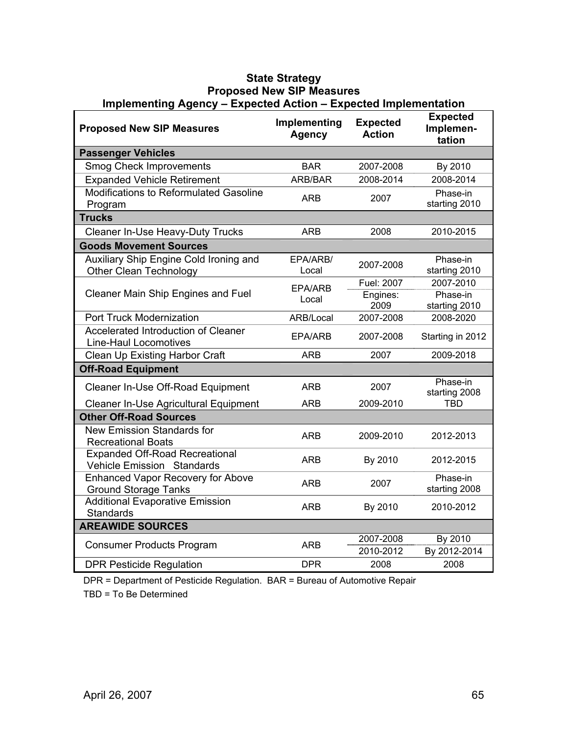| <b>Proposed New SIP Measures</b>                                        | Implementing<br><b>Agency</b> | <b>Expected</b><br><b>Action</b> | <b>Expected</b><br>Implemen-<br>tation |
|-------------------------------------------------------------------------|-------------------------------|----------------------------------|----------------------------------------|
| <b>Passenger Vehicles</b>                                               |                               |                                  |                                        |
| <b>Smog Check Improvements</b>                                          | <b>BAR</b>                    | 2007-2008                        | By 2010                                |
| <b>Expanded Vehicle Retirement</b>                                      | ARB/BAR                       | 2008-2014                        | 2008-2014                              |
| Modifications to Reformulated Gasoline<br>Program                       | <b>ARB</b>                    | 2007                             | Phase-in<br>starting 2010              |
| <b>Trucks</b>                                                           |                               |                                  |                                        |
| <b>Cleaner In-Use Heavy-Duty Trucks</b>                                 | <b>ARB</b>                    | 2008                             | 2010-2015                              |
| <b>Goods Movement Sources</b>                                           |                               |                                  |                                        |
| Auxiliary Ship Engine Cold Ironing and<br><b>Other Clean Technology</b> | EPA/ARB/<br>Local             | 2007-2008                        | Phase-in<br>starting 2010              |
|                                                                         | EPA/ARB                       | Fuel: 2007                       | 2007-2010                              |
| <b>Cleaner Main Ship Engines and Fuel</b>                               | Local                         | Engines:<br>2009                 | Phase-in<br>starting 2010              |
| <b>Port Truck Modernization</b>                                         | ARB/Local                     | 2007-2008                        | 2008-2020                              |
| Accelerated Introduction of Cleaner<br><b>Line-Haul Locomotives</b>     | EPA/ARB                       | 2007-2008                        | Starting in 2012                       |
| Clean Up Existing Harbor Craft                                          | <b>ARB</b>                    | 2007                             | 2009-2018                              |
| <b>Off-Road Equipment</b>                                               |                               |                                  |                                        |
| Cleaner In-Use Off-Road Equipment                                       | <b>ARB</b>                    | 2007                             | Phase-in<br>starting 2008              |
| Cleaner In-Use Agricultural Equipment                                   | <b>ARB</b>                    | 2009-2010                        | <b>TBD</b>                             |
| <b>Other Off-Road Sources</b>                                           |                               |                                  |                                        |
| <b>New Emission Standards for</b><br><b>Recreational Boats</b>          | <b>ARB</b>                    | 2009-2010                        | 2012-2013                              |
| <b>Expanded Off-Road Recreational</b><br>Vehicle Emission Standards     | <b>ARB</b>                    | By 2010                          | 2012-2015                              |
| <b>Enhanced Vapor Recovery for Above</b><br><b>Ground Storage Tanks</b> | <b>ARB</b>                    | 2007                             | Phase-in<br>starting 2008              |
| <b>Additional Evaporative Emission</b><br><b>Standards</b>              | <b>ARB</b>                    | By 2010                          | 2010-2012                              |
| <b>AREAWIDE SOURCES</b>                                                 |                               |                                  |                                        |
| <b>Consumer Products Program</b>                                        | <b>ARB</b>                    | 2007-2008<br>2010-2012           | By 2010<br>By 2012-2014                |
| <b>DPR Pesticide Regulation</b>                                         | <b>DPR</b>                    | 2008                             | 2008                                   |

#### **State Strategy Proposed New SIP Measures Implementing Agency – Expected Action – Expected Implementation**

DPR = Department of Pesticide Regulation. BAR = Bureau of Automotive Repair TBD = To Be Determined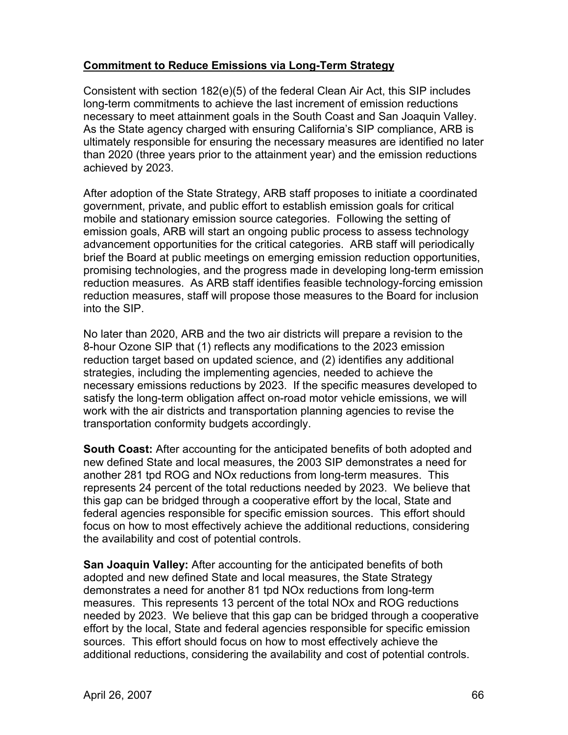### **Commitment to Reduce Emissions via Long-Term Strategy**

Consistent with section 182(e)(5) of the federal Clean Air Act, this SIP includes long-term commitments to achieve the last increment of emission reductions necessary to meet attainment goals in the South Coast and San Joaquin Valley. As the State agency charged with ensuring California's SIP compliance, ARB is ultimately responsible for ensuring the necessary measures are identified no later than 2020 (three years prior to the attainment year) and the emission reductions achieved by 2023.

After adoption of the State Strategy, ARB staff proposes to initiate a coordinated government, private, and public effort to establish emission goals for critical mobile and stationary emission source categories. Following the setting of emission goals, ARB will start an ongoing public process to assess technology advancement opportunities for the critical categories. ARB staff will periodically brief the Board at public meetings on emerging emission reduction opportunities, promising technologies, and the progress made in developing long-term emission reduction measures. As ARB staff identifies feasible technology-forcing emission reduction measures, staff will propose those measures to the Board for inclusion into the SIP.

No later than 2020, ARB and the two air districts will prepare a revision to the 8-hour Ozone SIP that (1) reflects any modifications to the 2023 emission reduction target based on updated science, and (2) identifies any additional strategies, including the implementing agencies, needed to achieve the necessary emissions reductions by 2023. If the specific measures developed to satisfy the long-term obligation affect on-road motor vehicle emissions, we will work with the air districts and transportation planning agencies to revise the transportation conformity budgets accordingly.

**South Coast:** After accounting for the anticipated benefits of both adopted and new defined State and local measures, the 2003 SIP demonstrates a need for another 281 tpd ROG and NOx reductions from long-term measures. This represents 24 percent of the total reductions needed by 2023. We believe that this gap can be bridged through a cooperative effort by the local, State and federal agencies responsible for specific emission sources. This effort should focus on how to most effectively achieve the additional reductions, considering the availability and cost of potential controls.

**San Joaquin Valley:** After accounting for the anticipated benefits of both adopted and new defined State and local measures, the State Strategy demonstrates a need for another 81 tpd NOx reductions from long-term measures. This represents 13 percent of the total NOx and ROG reductions needed by 2023. We believe that this gap can be bridged through a cooperative effort by the local, State and federal agencies responsible for specific emission sources. This effort should focus on how to most effectively achieve the additional reductions, considering the availability and cost of potential controls.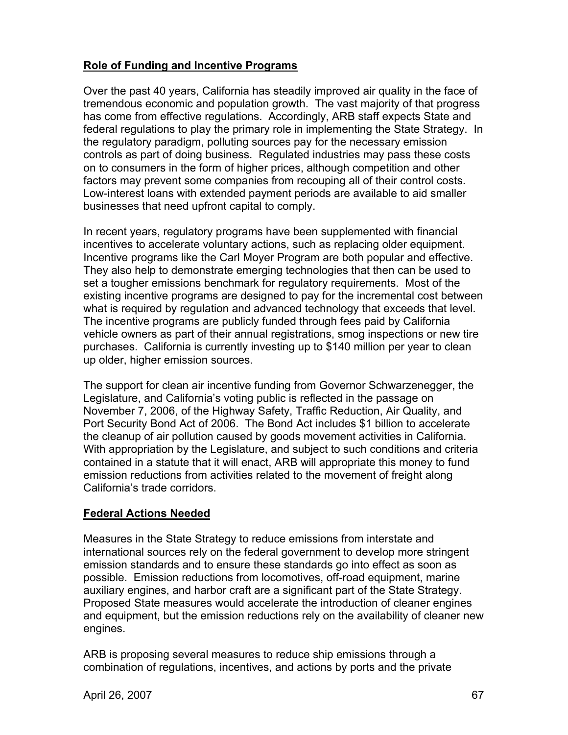### **Role of Funding and Incentive Programs**

Over the past 40 years, California has steadily improved air quality in the face of tremendous economic and population growth. The vast majority of that progress has come from effective regulations. Accordingly, ARB staff expects State and federal regulations to play the primary role in implementing the State Strategy. In the regulatory paradigm, polluting sources pay for the necessary emission controls as part of doing business. Regulated industries may pass these costs on to consumers in the form of higher prices, although competition and other factors may prevent some companies from recouping all of their control costs. Low-interest loans with extended payment periods are available to aid smaller businesses that need upfront capital to comply.

In recent years, regulatory programs have been supplemented with financial incentives to accelerate voluntary actions, such as replacing older equipment. Incentive programs like the Carl Moyer Program are both popular and effective. They also help to demonstrate emerging technologies that then can be used to set a tougher emissions benchmark for regulatory requirements. Most of the existing incentive programs are designed to pay for the incremental cost between what is required by regulation and advanced technology that exceeds that level. The incentive programs are publicly funded through fees paid by California vehicle owners as part of their annual registrations, smog inspections or new tire purchases. California is currently investing up to \$140 million per year to clean up older, higher emission sources.

The support for clean air incentive funding from Governor Schwarzenegger, the Legislature, and California's voting public is reflected in the passage on November 7, 2006, of the Highway Safety, Traffic Reduction, Air Quality, and Port Security Bond Act of 2006. The Bond Act includes \$1 billion to accelerate the cleanup of air pollution caused by goods movement activities in California. With appropriation by the Legislature, and subject to such conditions and criteria contained in a statute that it will enact, ARB will appropriate this money to fund emission reductions from activities related to the movement of freight along California's trade corridors.

### **Federal Actions Needed**

Measures in the State Strategy to reduce emissions from interstate and international sources rely on the federal government to develop more stringent emission standards and to ensure these standards go into effect as soon as possible. Emission reductions from locomotives, off-road equipment, marine auxiliary engines, and harbor craft are a significant part of the State Strategy. Proposed State measures would accelerate the introduction of cleaner engines and equipment, but the emission reductions rely on the availability of cleaner new engines.

ARB is proposing several measures to reduce ship emissions through a combination of regulations, incentives, and actions by ports and the private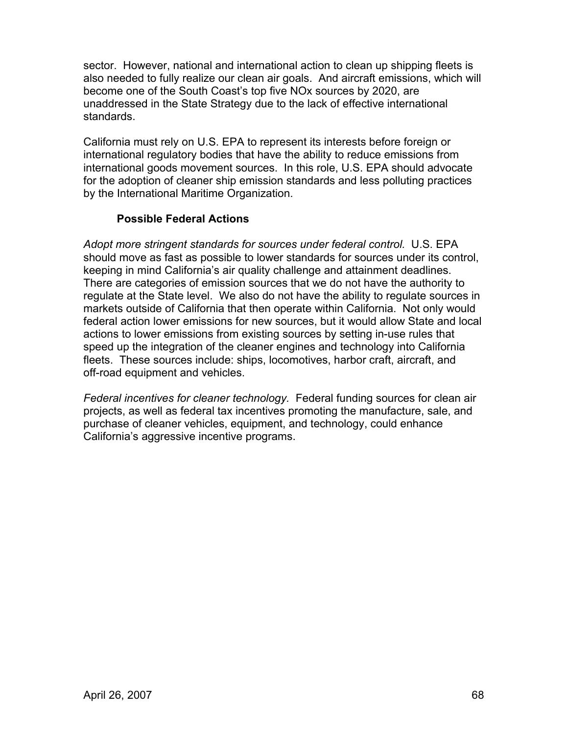sector. However, national and international action to clean up shipping fleets is also needed to fully realize our clean air goals. And aircraft emissions, which will become one of the South Coast's top five NOx sources by 2020, are unaddressed in the State Strategy due to the lack of effective international standards.

California must rely on U.S. EPA to represent its interests before foreign or international regulatory bodies that have the ability to reduce emissions from international goods movement sources. In this role, U.S. EPA should advocate for the adoption of cleaner ship emission standards and less polluting practices by the International Maritime Organization.

### **Possible Federal Actions**

*Adopt more stringent standards for sources under federal control.* U.S. EPA should move as fast as possible to lower standards for sources under its control, keeping in mind California's air quality challenge and attainment deadlines. There are categories of emission sources that we do not have the authority to regulate at the State level. We also do not have the ability to regulate sources in markets outside of California that then operate within California. Not only would federal action lower emissions for new sources, but it would allow State and local actions to lower emissions from existing sources by setting in-use rules that speed up the integration of the cleaner engines and technology into California fleets. These sources include: ships, locomotives, harbor craft, aircraft, and off-road equipment and vehicles.

*Federal incentives for cleaner technology.* Federal funding sources for clean air projects, as well as federal tax incentives promoting the manufacture, sale, and purchase of cleaner vehicles, equipment, and technology, could enhance California's aggressive incentive programs.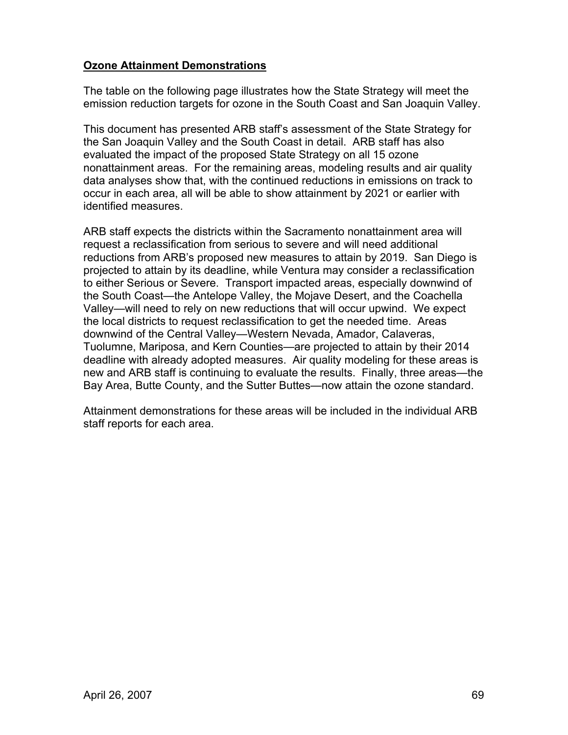### **Ozone Attainment Demonstrations**

The table on the following page illustrates how the State Strategy will meet the emission reduction targets for ozone in the South Coast and San Joaquin Valley.

This document has presented ARB staff's assessment of the State Strategy for the San Joaquin Valley and the South Coast in detail. ARB staff has also evaluated the impact of the proposed State Strategy on all 15 ozone nonattainment areas. For the remaining areas, modeling results and air quality data analyses show that, with the continued reductions in emissions on track to occur in each area, all will be able to show attainment by 2021 or earlier with identified measures.

ARB staff expects the districts within the Sacramento nonattainment area will request a reclassification from serious to severe and will need additional reductions from ARB's proposed new measures to attain by 2019. San Diego is projected to attain by its deadline, while Ventura may consider a reclassification to either Serious or Severe. Transport impacted areas, especially downwind of the South Coast—the Antelope Valley, the Mojave Desert, and the Coachella Valley—will need to rely on new reductions that will occur upwind. We expect the local districts to request reclassification to get the needed time. Areas downwind of the Central Valley—Western Nevada, Amador, Calaveras, Tuolumne, Mariposa, and Kern Counties—are projected to attain by their 2014 deadline with already adopted measures. Air quality modeling for these areas is new and ARB staff is continuing to evaluate the results. Finally, three areas—the Bay Area, Butte County, and the Sutter Buttes—now attain the ozone standard.

Attainment demonstrations for these areas will be included in the individual ARB staff reports for each area.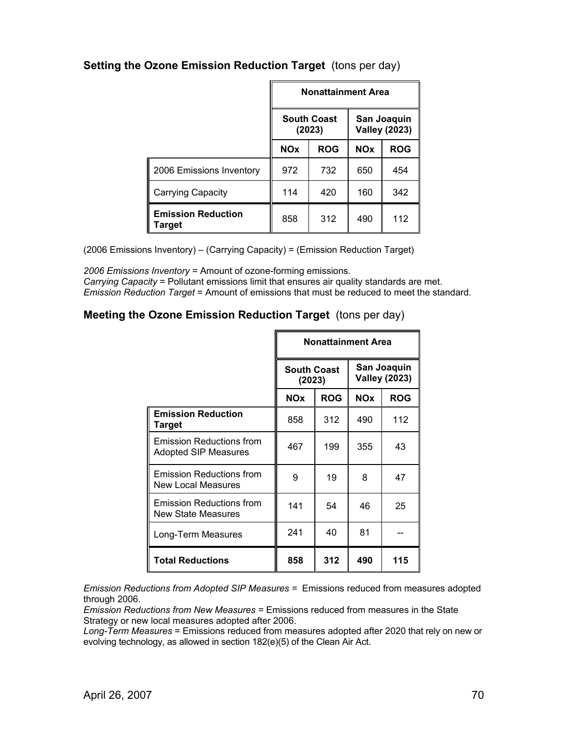|  |  | Setting the Ozone Emission Reduction Target (tons per day) |  |  |  |
|--|--|------------------------------------------------------------|--|--|--|
|  |  |                                                            |  |  |  |

|                                     | <b>Nonattainment Area</b>    |            |                                     |            |  |  |
|-------------------------------------|------------------------------|------------|-------------------------------------|------------|--|--|
|                                     | <b>South Coast</b><br>(2023) |            | San Joaquin<br><b>Valley (2023)</b> |            |  |  |
|                                     | <b>NOx</b>                   | <b>ROG</b> | <b>NOx</b>                          | <b>ROG</b> |  |  |
| 2006 Emissions Inventory            | 972                          | 732        | 650                                 | 454        |  |  |
| <b>Carrying Capacity</b>            | 114                          | 420        | 160                                 | 342        |  |  |
| <b>Emission Reduction</b><br>Target | 858                          | 312        | 490                                 | 112        |  |  |

(2006 Emissions Inventory) – (Carrying Capacity) = (Emission Reduction Target)

*2006 Emissions Inventory* = Amount of ozone-forming emissions.

*Carrying Capacity* = Pollutant emissions limit that ensures air quality standards are met. *Emission Reduction Target* = Amount of emissions that must be reduced to meet the standard.

#### **Meeting the Ozone Emission Reduction Target** (tons per day)

|                                                                | <b>Nonattainment Area</b>    |            |                       |                                     |
|----------------------------------------------------------------|------------------------------|------------|-----------------------|-------------------------------------|
|                                                                | <b>South Coast</b><br>(2023) |            |                       | San Joaquin<br><b>Valley (2023)</b> |
|                                                                | <b>NO<sub>x</sub></b>        | <b>ROG</b> | <b>NO<sub>x</sub></b> | <b>ROG</b>                          |
| <b>Emission Reduction</b><br><b>Target</b>                     | 858                          | 312        | 490                   | 112                                 |
| <b>Emission Reductions from</b><br><b>Adopted SIP Measures</b> | 467                          | 199        | 355                   | 43                                  |
| <b>Emission Reductions from</b><br><b>New Local Measures</b>   | 9                            | 19         | 8                     | 47                                  |
| Emission Reductions from<br>New State Measures                 | 141                          | 54         | 46                    | 25                                  |
| Long-Term Measures                                             | 241                          | 40         | 81                    |                                     |
| <b>Total Reductions</b>                                        | 858                          | 312        | 490                   | 115                                 |

*Emission Reductions from Adopted SIP Measures =* Emissions reduced from measures adopted through 2006.

*Emission Reductions from New Measures =* Emissions reduced from measures in the State Strategy or new local measures adopted after 2006.

*Long-Term Measures* = Emissions reduced from measures adopted after 2020 that rely on new or evolving technology, as allowed in section 182(e)(5) of the Clean Air Act.